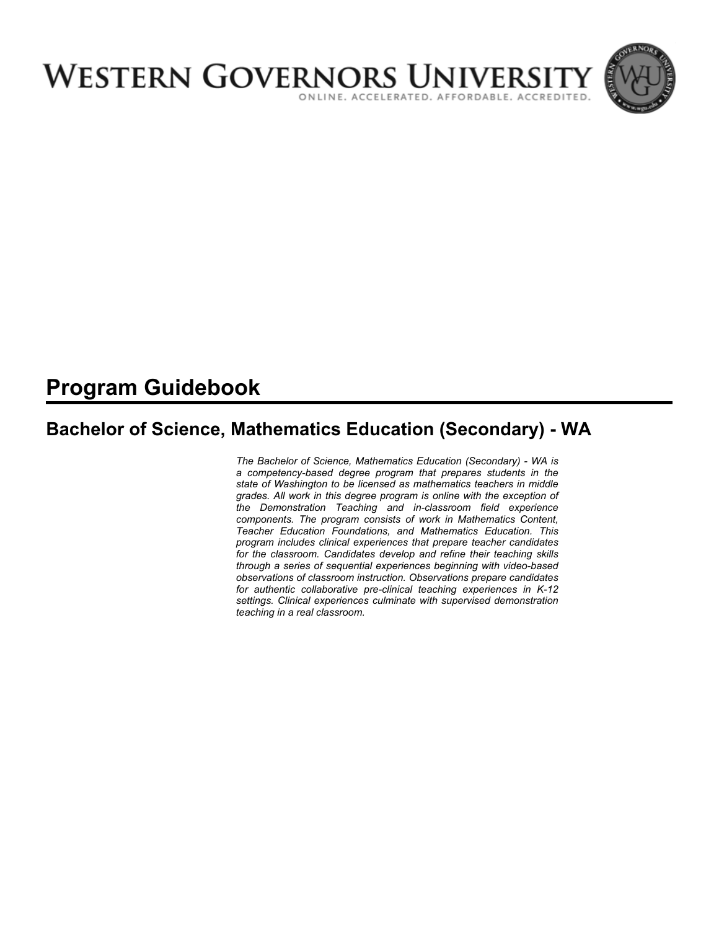

# **Program Guidebook**

# **Bachelor of Science, Mathematics Education (Secondary) - WA**

*The Bachelor of Science, Mathematics Education (Secondary) - WA is a competency-based degree program that prepares students in the state of Washington to be licensed as mathematics teachers in middle grades. All work in this degree program is online with the exception of the Demonstration Teaching and in-classroom field experience components. The program consists of work in Mathematics Content, Teacher Education Foundations, and Mathematics Education. This program includes clinical experiences that prepare teacher candidates for the classroom. Candidates develop and refine their teaching skills through a series of sequential experiences beginning with video-based observations of classroom instruction. Observations prepare candidates for authentic collaborative pre-clinical teaching experiences in K-12 settings. Clinical experiences culminate with supervised demonstration teaching in a real classroom.*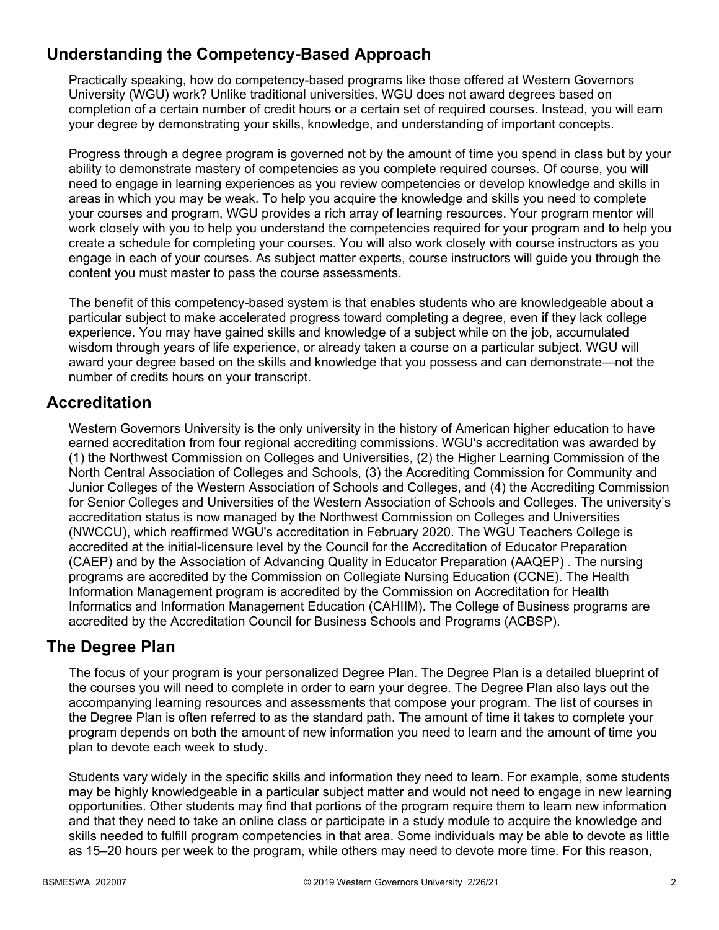# **Understanding the Competency-Based Approach**

Practically speaking, how do competency-based programs like those offered at Western Governors University (WGU) work? Unlike traditional universities, WGU does not award degrees based on completion of a certain number of credit hours or a certain set of required courses. Instead, you will earn your degree by demonstrating your skills, knowledge, and understanding of important concepts.

Progress through a degree program is governed not by the amount of time you spend in class but by your ability to demonstrate mastery of competencies as you complete required courses. Of course, you will need to engage in learning experiences as you review competencies or develop knowledge and skills in areas in which you may be weak. To help you acquire the knowledge and skills you need to complete your courses and program, WGU provides a rich array of learning resources. Your program mentor will work closely with you to help you understand the competencies required for your program and to help you create a schedule for completing your courses. You will also work closely with course instructors as you engage in each of your courses. As subject matter experts, course instructors will guide you through the content you must master to pass the course assessments.

The benefit of this competency-based system is that enables students who are knowledgeable about a particular subject to make accelerated progress toward completing a degree, even if they lack college experience. You may have gained skills and knowledge of a subject while on the job, accumulated wisdom through years of life experience, or already taken a course on a particular subject. WGU will award your degree based on the skills and knowledge that you possess and can demonstrate—not the number of credits hours on your transcript.

## **Accreditation**

Western Governors University is the only university in the history of American higher education to have earned accreditation from four regional accrediting commissions. WGU's accreditation was awarded by (1) the Northwest Commission on Colleges and Universities, (2) the Higher Learning Commission of the North Central Association of Colleges and Schools, (3) the Accrediting Commission for Community and Junior Colleges of the Western Association of Schools and Colleges, and (4) the Accrediting Commission for Senior Colleges and Universities of the Western Association of Schools and Colleges. The university's accreditation status is now managed by the Northwest Commission on Colleges and Universities (NWCCU), which reaffirmed WGU's accreditation in February 2020. The WGU Teachers College is accredited at the initial-licensure level by the Council for the Accreditation of Educator Preparation (CAEP) and by the Association of Advancing Quality in Educator Preparation (AAQEP) . The nursing programs are accredited by the Commission on Collegiate Nursing Education (CCNE). The Health Information Management program is accredited by the Commission on Accreditation for Health Informatics and Information Management Education (CAHIIM). The College of Business programs are accredited by the Accreditation Council for Business Schools and Programs (ACBSP).

### **The Degree Plan**

The focus of your program is your personalized Degree Plan. The Degree Plan is a detailed blueprint of the courses you will need to complete in order to earn your degree. The Degree Plan also lays out the accompanying learning resources and assessments that compose your program. The list of courses in the Degree Plan is often referred to as the standard path. The amount of time it takes to complete your program depends on both the amount of new information you need to learn and the amount of time you plan to devote each week to study.

Students vary widely in the specific skills and information they need to learn. For example, some students may be highly knowledgeable in a particular subject matter and would not need to engage in new learning opportunities. Other students may find that portions of the program require them to learn new information and that they need to take an online class or participate in a study module to acquire the knowledge and skills needed to fulfill program competencies in that area. Some individuals may be able to devote as little as 15–20 hours per week to the program, while others may need to devote more time. For this reason,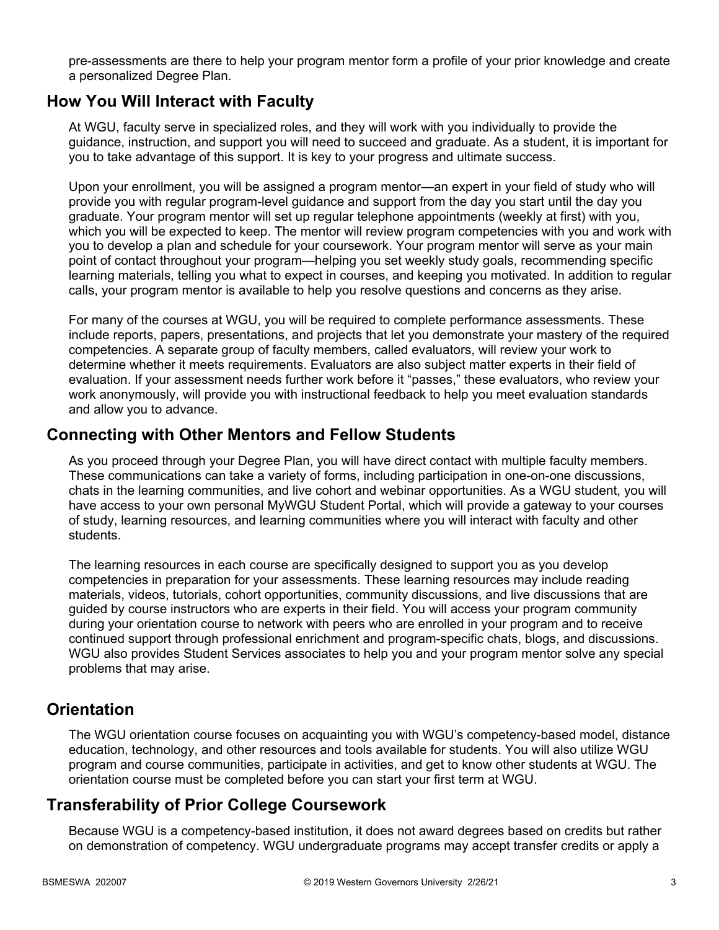pre-assessments are there to help your program mentor form a profile of your prior knowledge and create a personalized Degree Plan.

### **How You Will Interact with Faculty**

At WGU, faculty serve in specialized roles, and they will work with you individually to provide the guidance, instruction, and support you will need to succeed and graduate. As a student, it is important for you to take advantage of this support. It is key to your progress and ultimate success.

Upon your enrollment, you will be assigned a program mentor—an expert in your field of study who will provide you with regular program-level guidance and support from the day you start until the day you graduate. Your program mentor will set up regular telephone appointments (weekly at first) with you, which you will be expected to keep. The mentor will review program competencies with you and work with you to develop a plan and schedule for your coursework. Your program mentor will serve as your main point of contact throughout your program—helping you set weekly study goals, recommending specific learning materials, telling you what to expect in courses, and keeping you motivated. In addition to regular calls, your program mentor is available to help you resolve questions and concerns as they arise.

For many of the courses at WGU, you will be required to complete performance assessments. These include reports, papers, presentations, and projects that let you demonstrate your mastery of the required competencies. A separate group of faculty members, called evaluators, will review your work to determine whether it meets requirements. Evaluators are also subject matter experts in their field of evaluation. If your assessment needs further work before it "passes," these evaluators, who review your work anonymously, will provide you with instructional feedback to help you meet evaluation standards and allow you to advance.

### **Connecting with Other Mentors and Fellow Students**

As you proceed through your Degree Plan, you will have direct contact with multiple faculty members. These communications can take a variety of forms, including participation in one-on-one discussions, chats in the learning communities, and live cohort and webinar opportunities. As a WGU student, you will have access to your own personal MyWGU Student Portal, which will provide a gateway to your courses of study, learning resources, and learning communities where you will interact with faculty and other students.

The learning resources in each course are specifically designed to support you as you develop competencies in preparation for your assessments. These learning resources may include reading materials, videos, tutorials, cohort opportunities, community discussions, and live discussions that are guided by course instructors who are experts in their field. You will access your program community during your orientation course to network with peers who are enrolled in your program and to receive continued support through professional enrichment and program-specific chats, blogs, and discussions. WGU also provides Student Services associates to help you and your program mentor solve any special problems that may arise.

### **Orientation**

The WGU orientation course focuses on acquainting you with WGU's competency-based model, distance education, technology, and other resources and tools available for students. You will also utilize WGU program and course communities, participate in activities, and get to know other students at WGU. The orientation course must be completed before you can start your first term at WGU.

# **Transferability of Prior College Coursework**

Because WGU is a competency-based institution, it does not award degrees based on credits but rather on demonstration of competency. WGU undergraduate programs may accept transfer credits or apply a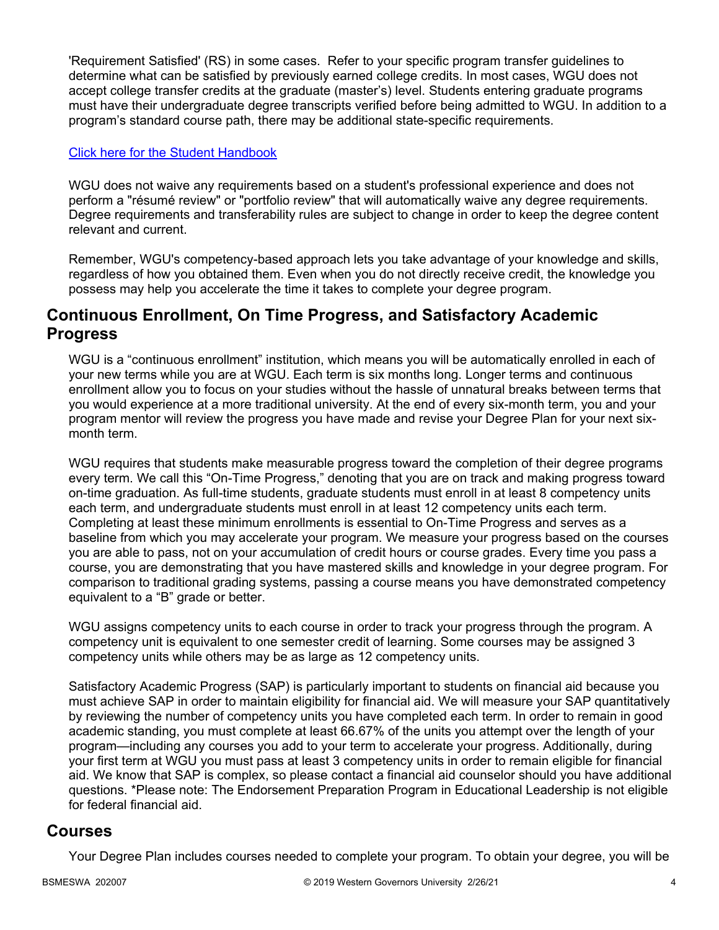'Requirement Satisfied' (RS) in some cases. Refer to your specific program transfer guidelines to determine what can be satisfied by previously earned college credits. In most cases, WGU does not accept college transfer credits at the graduate (master's) level. Students entering graduate programs must have their undergraduate degree transcripts verified before being admitted to WGU. In addition to a program's standard course path, there may be additional state-specific requirements.

#### [Click here for the Student Handbook](http://cm.wgu.edu/)

WGU does not waive any requirements based on a student's professional experience and does not perform a "résumé review" or "portfolio review" that will automatically waive any degree requirements. Degree requirements and transferability rules are subject to change in order to keep the degree content relevant and current.

Remember, WGU's competency-based approach lets you take advantage of your knowledge and skills, regardless of how you obtained them. Even when you do not directly receive credit, the knowledge you possess may help you accelerate the time it takes to complete your degree program.

### **Continuous Enrollment, On Time Progress, and Satisfactory Academic Progress**

WGU is a "continuous enrollment" institution, which means you will be automatically enrolled in each of your new terms while you are at WGU. Each term is six months long. Longer terms and continuous enrollment allow you to focus on your studies without the hassle of unnatural breaks between terms that you would experience at a more traditional university. At the end of every six-month term, you and your program mentor will review the progress you have made and revise your Degree Plan for your next sixmonth term.

WGU requires that students make measurable progress toward the completion of their degree programs every term. We call this "On-Time Progress," denoting that you are on track and making progress toward on-time graduation. As full-time students, graduate students must enroll in at least 8 competency units each term, and undergraduate students must enroll in at least 12 competency units each term. Completing at least these minimum enrollments is essential to On-Time Progress and serves as a baseline from which you may accelerate your program. We measure your progress based on the courses you are able to pass, not on your accumulation of credit hours or course grades. Every time you pass a course, you are demonstrating that you have mastered skills and knowledge in your degree program. For comparison to traditional grading systems, passing a course means you have demonstrated competency equivalent to a "B" grade or better.

WGU assigns competency units to each course in order to track your progress through the program. A competency unit is equivalent to one semester credit of learning. Some courses may be assigned 3 competency units while others may be as large as 12 competency units.

Satisfactory Academic Progress (SAP) is particularly important to students on financial aid because you must achieve SAP in order to maintain eligibility for financial aid. We will measure your SAP quantitatively by reviewing the number of competency units you have completed each term. In order to remain in good academic standing, you must complete at least 66.67% of the units you attempt over the length of your program—including any courses you add to your term to accelerate your progress. Additionally, during your first term at WGU you must pass at least 3 competency units in order to remain eligible for financial aid. We know that SAP is complex, so please contact a financial aid counselor should you have additional questions. \*Please note: The Endorsement Preparation Program in Educational Leadership is not eligible for federal financial aid.

### **Courses**

Your Degree Plan includes courses needed to complete your program. To obtain your degree, you will be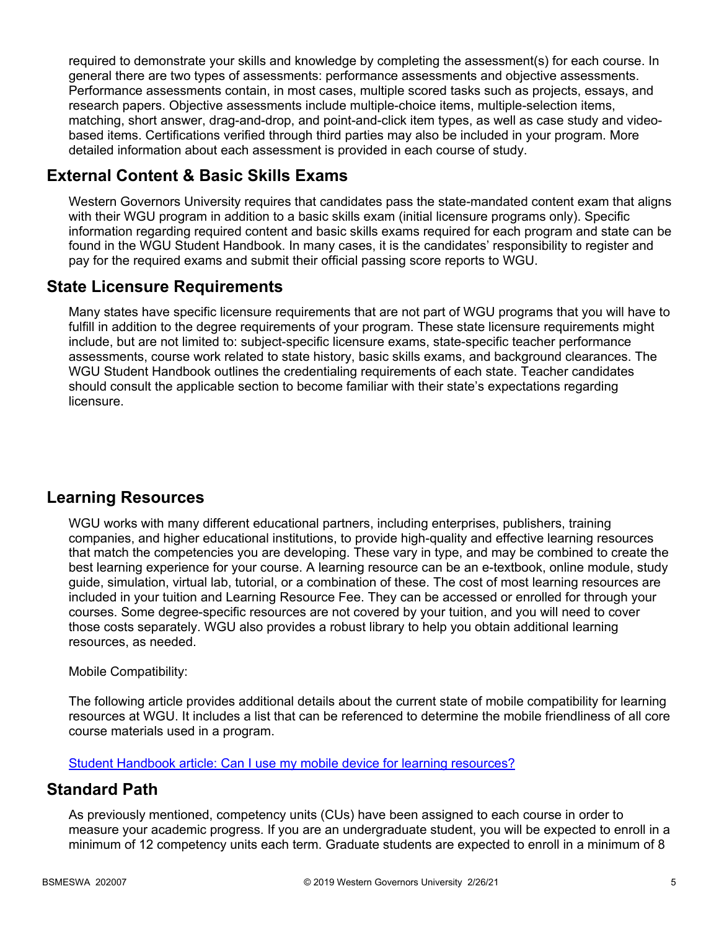required to demonstrate your skills and knowledge by completing the assessment(s) for each course. In general there are two types of assessments: performance assessments and objective assessments. Performance assessments contain, in most cases, multiple scored tasks such as projects, essays, and research papers. Objective assessments include multiple-choice items, multiple-selection items, matching, short answer, drag-and-drop, and point-and-click item types, as well as case study and videobased items. Certifications verified through third parties may also be included in your program. More detailed information about each assessment is provided in each course of study.

# **External Content & Basic Skills Exams**

Western Governors University requires that candidates pass the state-mandated content exam that aligns with their WGU program in addition to a basic skills exam (initial licensure programs only). Specific information regarding required content and basic skills exams required for each program and state can be found in the WGU Student Handbook. In many cases, it is the candidates' responsibility to register and pay for the required exams and submit their official passing score reports to WGU.

## **State Licensure Requirements**

Many states have specific licensure requirements that are not part of WGU programs that you will have to fulfill in addition to the degree requirements of your program. These state licensure requirements might include, but are not limited to: subject-specific licensure exams, state-specific teacher performance assessments, course work related to state history, basic skills exams, and background clearances. The WGU Student Handbook outlines the credentialing requirements of each state. Teacher candidates should consult the applicable section to become familiar with their state's expectations regarding licensure.

# **Learning Resources**

WGU works with many different educational partners, including enterprises, publishers, training companies, and higher educational institutions, to provide high-quality and effective learning resources that match the competencies you are developing. These vary in type, and may be combined to create the best learning experience for your course. A learning resource can be an e-textbook, online module, study guide, simulation, virtual lab, tutorial, or a combination of these. The cost of most learning resources are included in your tuition and Learning Resource Fee. They can be accessed or enrolled for through your courses. Some degree-specific resources are not covered by your tuition, and you will need to cover those costs separately. WGU also provides a robust library to help you obtain additional learning resources, as needed.

### Mobile Compatibility:

The following article provides additional details about the current state of mobile compatibility for learning resources at WGU. It includes a list that can be referenced to determine the mobile friendliness of all core course materials used in a program.

[Student Handbook article: Can I use my mobile device for learning resources?](https://cm.wgu.edu/t5/Frequently-Asked-Questions/Can-I-use-my-mobile-device-for-learning-resources/ta-p/396)

### **Standard Path**

As previously mentioned, competency units (CUs) have been assigned to each course in order to measure your academic progress. If you are an undergraduate student, you will be expected to enroll in a minimum of 12 competency units each term. Graduate students are expected to enroll in a minimum of 8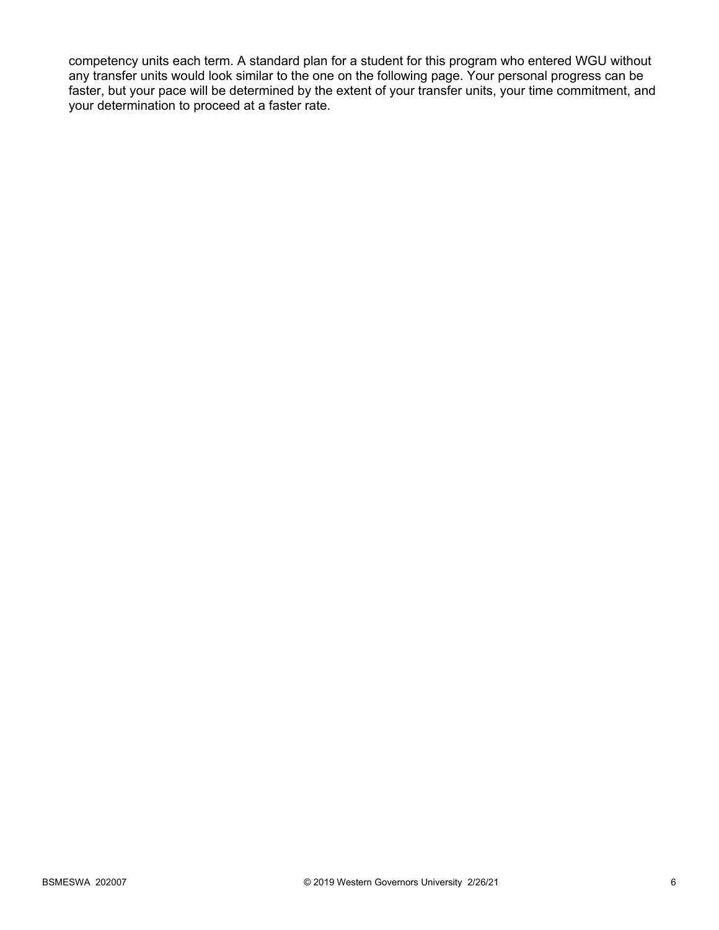competency units each term. A standard plan for a student for this program who entered WGU without any transfer units would look similar to the one on the following page. Your personal progress can be faster, but your pace will be determined by the extent of your transfer units, your time commitment, and your determination to proceed at a faster rate.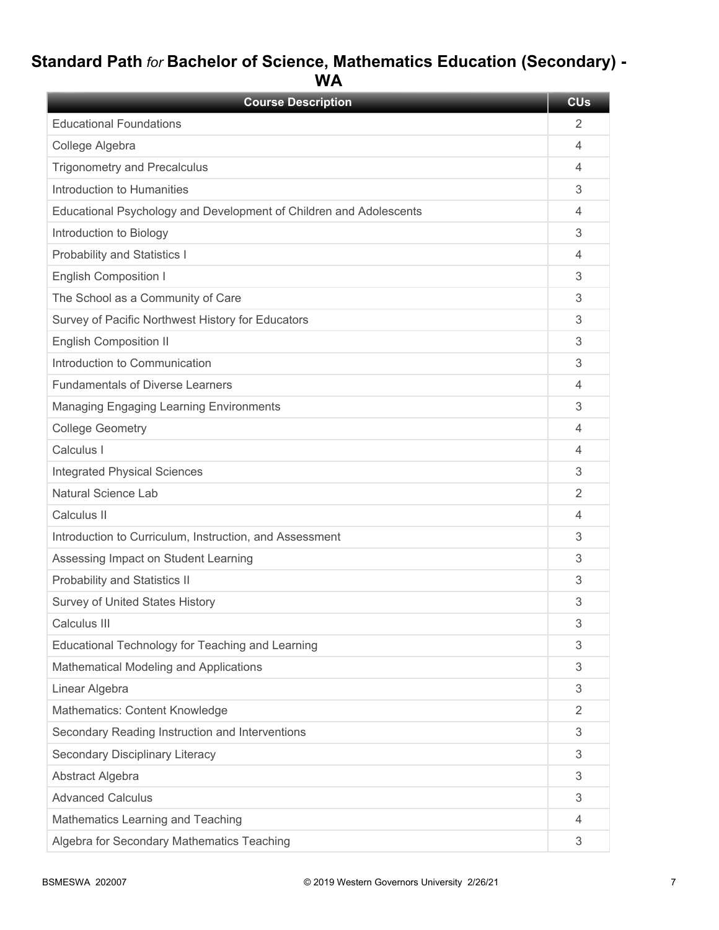# **Standard Path** *for* **Bachelor of Science, Mathematics Education (Secondary) - WA**

| <b>Course Description</b>                                          | <b>CU<sub>s</sub></b> |
|--------------------------------------------------------------------|-----------------------|
| <b>Educational Foundations</b>                                     | 2                     |
| College Algebra                                                    | 4                     |
| <b>Trigonometry and Precalculus</b>                                | 4                     |
| Introduction to Humanities                                         | 3                     |
| Educational Psychology and Development of Children and Adolescents | 4                     |
| Introduction to Biology                                            | 3                     |
| Probability and Statistics I                                       | 4                     |
| <b>English Composition I</b>                                       | 3                     |
| The School as a Community of Care                                  | 3                     |
| Survey of Pacific Northwest History for Educators                  | 3                     |
| <b>English Composition II</b>                                      | 3                     |
| Introduction to Communication                                      | 3                     |
| <b>Fundamentals of Diverse Learners</b>                            | 4                     |
| <b>Managing Engaging Learning Environments</b>                     | 3                     |
| <b>College Geometry</b>                                            | 4                     |
| Calculus I                                                         | 4                     |
| <b>Integrated Physical Sciences</b>                                | 3                     |
| Natural Science Lab                                                | 2                     |
| Calculus II                                                        | 4                     |
| Introduction to Curriculum, Instruction, and Assessment            | 3                     |
| Assessing Impact on Student Learning                               | 3                     |
| Probability and Statistics II                                      | 3                     |
| <b>Survey of United States History</b>                             | 3                     |
| Calculus III                                                       | З                     |
| Educational Technology for Teaching and Learning                   | 3                     |
| Mathematical Modeling and Applications                             | 3                     |
| Linear Algebra                                                     | 3                     |
| Mathematics: Content Knowledge                                     | 2                     |
| Secondary Reading Instruction and Interventions                    | 3                     |
| Secondary Disciplinary Literacy                                    | 3                     |
| Abstract Algebra                                                   | 3                     |
| <b>Advanced Calculus</b>                                           | 3                     |
| Mathematics Learning and Teaching                                  | 4                     |
| Algebra for Secondary Mathematics Teaching                         | 3                     |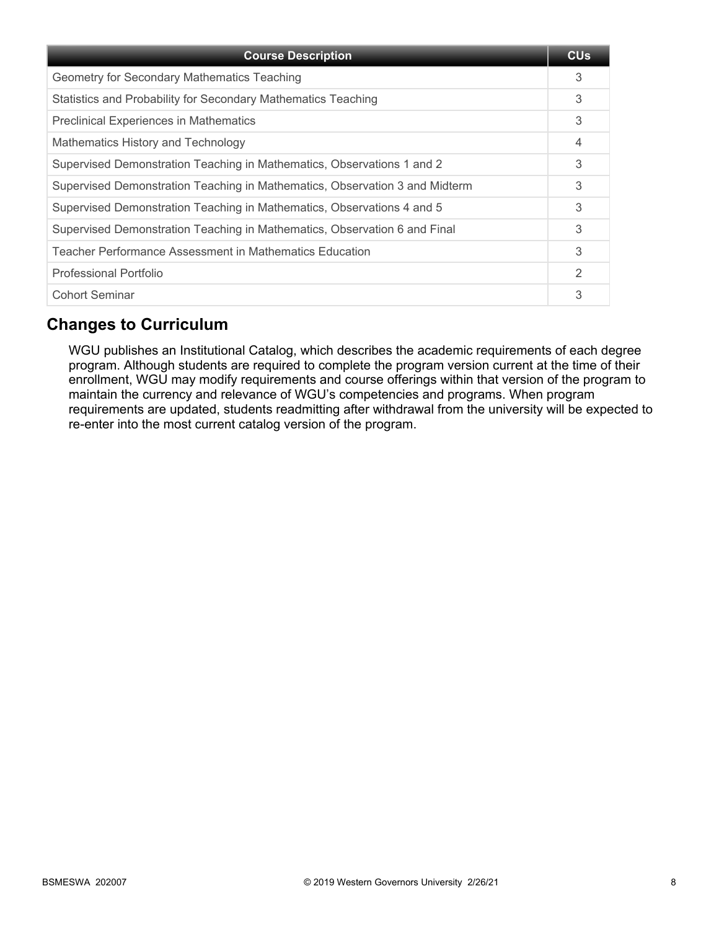| <b>Course Description</b>                                                   | <b>CU<sub>s</sub></b> |
|-----------------------------------------------------------------------------|-----------------------|
| Geometry for Secondary Mathematics Teaching                                 | 3                     |
| Statistics and Probability for Secondary Mathematics Teaching               | 3                     |
| <b>Preclinical Experiences in Mathematics</b>                               | 3                     |
| Mathematics History and Technology                                          | 4                     |
| Supervised Demonstration Teaching in Mathematics, Observations 1 and 2      | 3                     |
| Supervised Demonstration Teaching in Mathematics, Observation 3 and Midterm | 3                     |
| Supervised Demonstration Teaching in Mathematics, Observations 4 and 5      | 3                     |
| Supervised Demonstration Teaching in Mathematics, Observation 6 and Final   | 3                     |
| Teacher Performance Assessment in Mathematics Education                     | 3                     |
| <b>Professional Portfolio</b>                                               | $\overline{2}$        |
| <b>Cohort Seminar</b>                                                       | 3                     |

# **Changes to Curriculum**

WGU publishes an Institutional Catalog, which describes the academic requirements of each degree program. Although students are required to complete the program version current at the time of their enrollment, WGU may modify requirements and course offerings within that version of the program to maintain the currency and relevance of WGU's competencies and programs. When program requirements are updated, students readmitting after withdrawal from the university will be expected to re-enter into the most current catalog version of the program.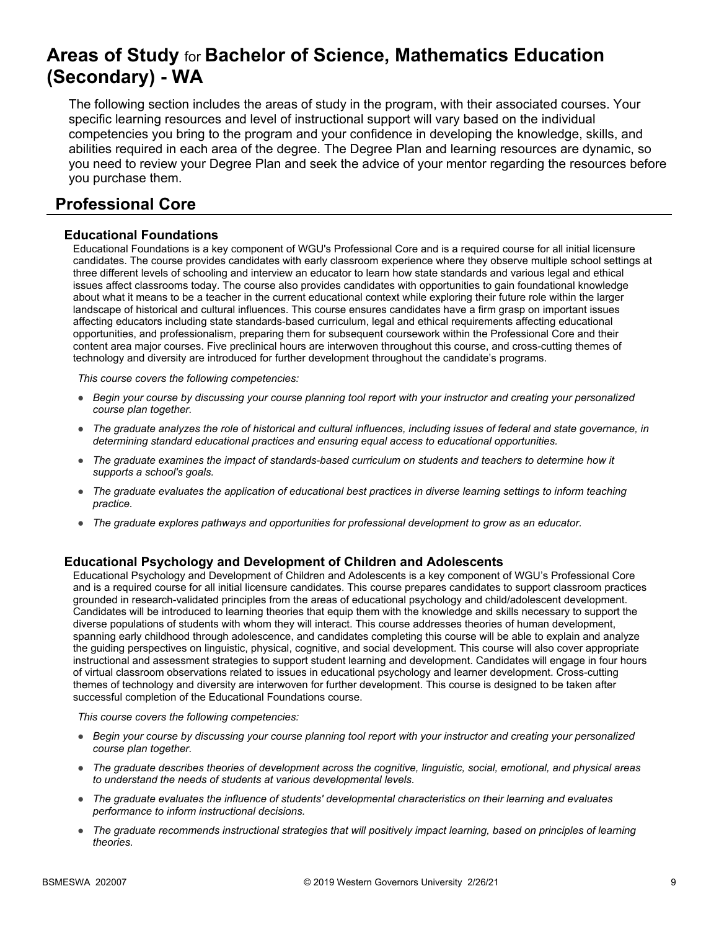# **Areas of Study** for **Bachelor of Science, Mathematics Education (Secondary) - WA**

The following section includes the areas of study in the program, with their associated courses. Your specific learning resources and level of instructional support will vary based on the individual competencies you bring to the program and your confidence in developing the knowledge, skills, and abilities required in each area of the degree. The Degree Plan and learning resources are dynamic, so you need to review your Degree Plan and seek the advice of your mentor regarding the resources before you purchase them.

# **Professional Core**

#### **Educational Foundations**

Educational Foundations is a key component of WGU's Professional Core and is a required course for all initial licensure candidates. The course provides candidates with early classroom experience where they observe multiple school settings at three different levels of schooling and interview an educator to learn how state standards and various legal and ethical issues affect classrooms today. The course also provides candidates with opportunities to gain foundational knowledge about what it means to be a teacher in the current educational context while exploring their future role within the larger landscape of historical and cultural influences. This course ensures candidates have a firm grasp on important issues affecting educators including state standards-based curriculum, legal and ethical requirements affecting educational opportunities, and professionalism, preparing them for subsequent coursework within the Professional Core and their content area major courses. Five preclinical hours are interwoven throughout this course, and cross-cutting themes of technology and diversity are introduced for further development throughout the candidate's programs.

*This course covers the following competencies:*

- *Begin your course by discussing your course planning tool report with your instructor and creating your personalized course plan together.*
- *The graduate analyzes the role of historical and cultural influences, including issues of federal and state governance, in determining standard educational practices and ensuring equal access to educational opportunities.*
- *The graduate examines the impact of standards-based curriculum on students and teachers to determine how it supports a school's goals.*
- *The graduate evaluates the application of educational best practices in diverse learning settings to inform teaching practice.*
- *The graduate explores pathways and opportunities for professional development to grow as an educator.*

#### **Educational Psychology and Development of Children and Adolescents**

Educational Psychology and Development of Children and Adolescents is a key component of WGU's Professional Core and is a required course for all initial licensure candidates. This course prepares candidates to support classroom practices grounded in research-validated principles from the areas of educational psychology and child/adolescent development. Candidates will be introduced to learning theories that equip them with the knowledge and skills necessary to support the diverse populations of students with whom they will interact. This course addresses theories of human development, spanning early childhood through adolescence, and candidates completing this course will be able to explain and analyze the guiding perspectives on linguistic, physical, cognitive, and social development. This course will also cover appropriate instructional and assessment strategies to support student learning and development. Candidates will engage in four hours of virtual classroom observations related to issues in educational psychology and learner development. Cross-cutting themes of technology and diversity are interwoven for further development. This course is designed to be taken after successful completion of the Educational Foundations course.

- *Begin your course by discussing your course planning tool report with your instructor and creating your personalized course plan together.*
- *The graduate describes theories of development across the cognitive, linguistic, social, emotional, and physical areas to understand the needs of students at various developmental levels.*
- *The graduate evaluates the influence of students' developmental characteristics on their learning and evaluates performance to inform instructional decisions.*
- *The graduate recommends instructional strategies that will positively impact learning, based on principles of learning theories.*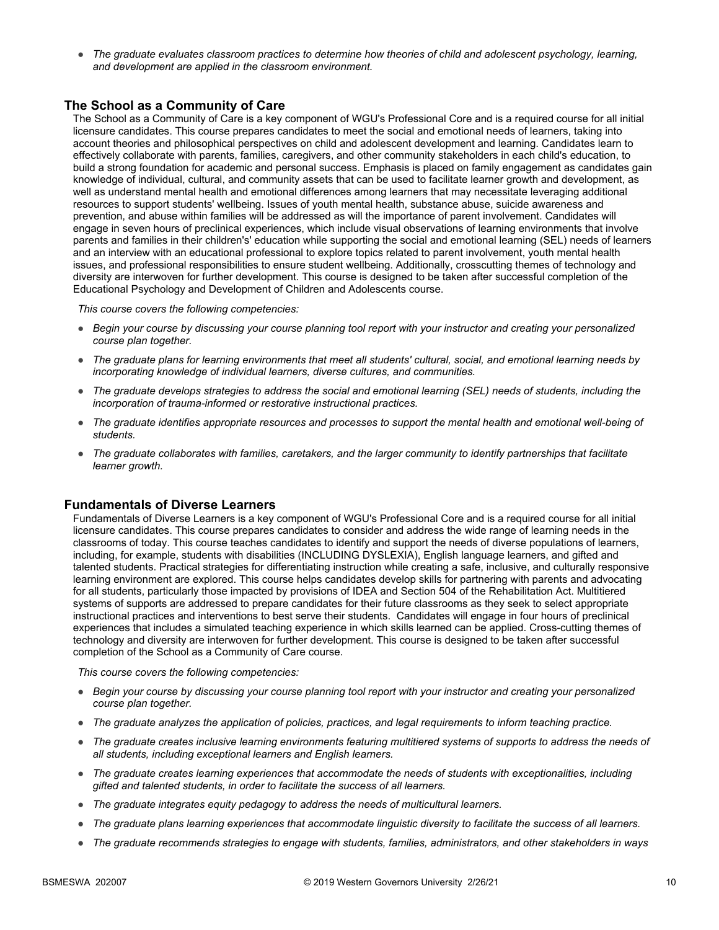● *The graduate evaluates classroom practices to determine how theories of child and adolescent psychology, learning, and development are applied in the classroom environment.*

#### **The School as a Community of Care**

The School as a Community of Care is a key component of WGU's Professional Core and is a required course for all initial licensure candidates. This course prepares candidates to meet the social and emotional needs of learners, taking into account theories and philosophical perspectives on child and adolescent development and learning. Candidates learn to effectively collaborate with parents, families, caregivers, and other community stakeholders in each child's education, to build a strong foundation for academic and personal success. Emphasis is placed on family engagement as candidates gain knowledge of individual, cultural, and community assets that can be used to facilitate learner growth and development, as well as understand mental health and emotional differences among learners that may necessitate leveraging additional resources to support students' wellbeing. Issues of youth mental health, substance abuse, suicide awareness and prevention, and abuse within families will be addressed as will the importance of parent involvement. Candidates will engage in seven hours of preclinical experiences, which include visual observations of learning environments that involve parents and families in their children's' education while supporting the social and emotional learning (SEL) needs of learners and an interview with an educational professional to explore topics related to parent involvement, youth mental health issues, and professional responsibilities to ensure student wellbeing. Additionally, crosscutting themes of technology and diversity are interwoven for further development. This course is designed to be taken after successful completion of the Educational Psychology and Development of Children and Adolescents course.

*This course covers the following competencies:*

- *Begin your course by discussing your course planning tool report with your instructor and creating your personalized course plan together.*
- *The graduate plans for learning environments that meet all students' cultural, social, and emotional learning needs by incorporating knowledge of individual learners, diverse cultures, and communities.*
- *The graduate develops strategies to address the social and emotional learning (SEL) needs of students, including the incorporation of trauma-informed or restorative instructional practices.*
- *The graduate identifies appropriate resources and processes to support the mental health and emotional well-being of students.*
- *The graduate collaborates with families, caretakers, and the larger community to identify partnerships that facilitate learner growth.*

#### **Fundamentals of Diverse Learners**

Fundamentals of Diverse Learners is a key component of WGU's Professional Core and is a required course for all initial licensure candidates. This course prepares candidates to consider and address the wide range of learning needs in the classrooms of today. This course teaches candidates to identify and support the needs of diverse populations of learners, including, for example, students with disabilities (INCLUDING DYSLEXIA), English language learners, and gifted and talented students. Practical strategies for differentiating instruction while creating a safe, inclusive, and culturally responsive learning environment are explored. This course helps candidates develop skills for partnering with parents and advocating for all students, particularly those impacted by provisions of IDEA and Section 504 of the Rehabilitation Act. Multitiered systems of supports are addressed to prepare candidates for their future classrooms as they seek to select appropriate instructional practices and interventions to best serve their students. Candidates will engage in four hours of preclinical experiences that includes a simulated teaching experience in which skills learned can be applied. Cross-cutting themes of technology and diversity are interwoven for further development. This course is designed to be taken after successful completion of the School as a Community of Care course.

- *Begin your course by discussing your course planning tool report with your instructor and creating your personalized course plan together.*
- *The graduate analyzes the application of policies, practices, and legal requirements to inform teaching practice.*
- *The graduate creates inclusive learning environments featuring multitiered systems of supports to address the needs of all students, including exceptional learners and English learners.*
- *The graduate creates learning experiences that accommodate the needs of students with exceptionalities, including gifted and talented students, in order to facilitate the success of all learners.*
- *The graduate integrates equity pedagogy to address the needs of multicultural learners.*
- *The graduate plans learning experiences that accommodate linguistic diversity to facilitate the success of all learners.*
- *The graduate recommends strategies to engage with students, families, administrators, and other stakeholders in ways*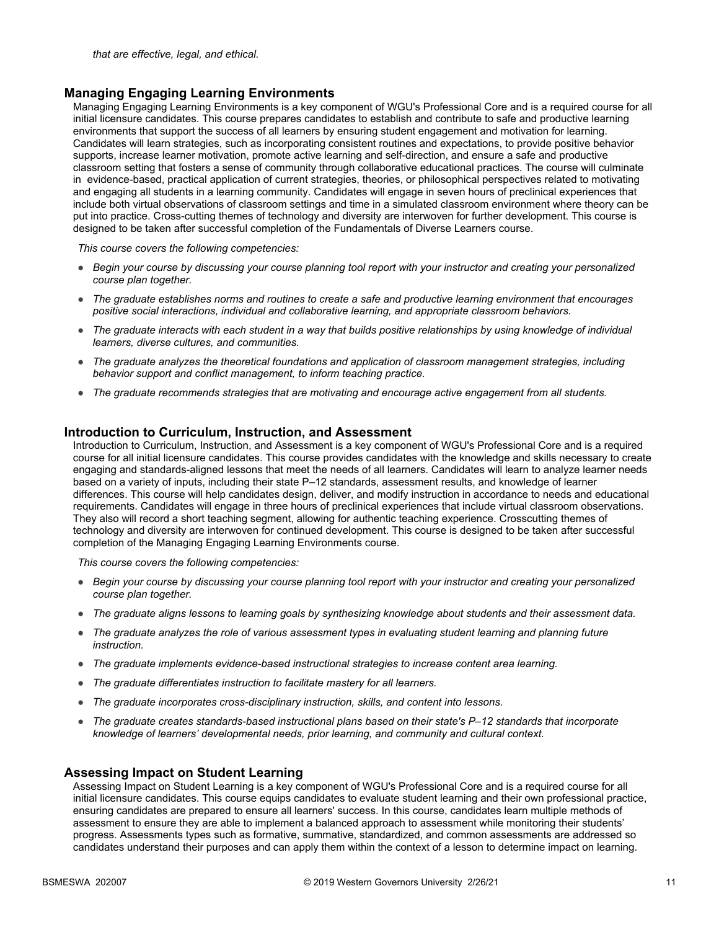#### **Managing Engaging Learning Environments**

Managing Engaging Learning Environments is a key component of WGU's Professional Core and is a required course for all initial licensure candidates. This course prepares candidates to establish and contribute to safe and productive learning environments that support the success of all learners by ensuring student engagement and motivation for learning. Candidates will learn strategies, such as incorporating consistent routines and expectations, to provide positive behavior supports, increase learner motivation, promote active learning and self-direction, and ensure a safe and productive classroom setting that fosters a sense of community through collaborative educational practices. The course will culminate in evidence-based, practical application of current strategies, theories, or philosophical perspectives related to motivating and engaging all students in a learning community. Candidates will engage in seven hours of preclinical experiences that include both virtual observations of classroom settings and time in a simulated classroom environment where theory can be put into practice. Cross-cutting themes of technology and diversity are interwoven for further development. This course is designed to be taken after successful completion of the Fundamentals of Diverse Learners course.

*This course covers the following competencies:*

- *Begin your course by discussing your course planning tool report with your instructor and creating your personalized course plan together.*
- *The graduate establishes norms and routines to create a safe and productive learning environment that encourages positive social interactions, individual and collaborative learning, and appropriate classroom behaviors.*
- *The graduate interacts with each student in a way that builds positive relationships by using knowledge of individual learners, diverse cultures, and communities.*
- *The graduate analyzes the theoretical foundations and application of classroom management strategies, including behavior support and conflict management, to inform teaching practice.*
- *The graduate recommends strategies that are motivating and encourage active engagement from all students.*

#### **Introduction to Curriculum, Instruction, and Assessment**

Introduction to Curriculum, Instruction, and Assessment is a key component of WGU's Professional Core and is a required course for all initial licensure candidates. This course provides candidates with the knowledge and skills necessary to create engaging and standards-aligned lessons that meet the needs of all learners. Candidates will learn to analyze learner needs based on a variety of inputs, including their state P–12 standards, assessment results, and knowledge of learner differences. This course will help candidates design, deliver, and modify instruction in accordance to needs and educational requirements. Candidates will engage in three hours of preclinical experiences that include virtual classroom observations. They also will record a short teaching segment, allowing for authentic teaching experience. Crosscutting themes of technology and diversity are interwoven for continued development. This course is designed to be taken after successful completion of the Managing Engaging Learning Environments course.

*This course covers the following competencies:*

- *Begin your course by discussing your course planning tool report with your instructor and creating your personalized course plan together.*
- *The graduate aligns lessons to learning goals by synthesizing knowledge about students and their assessment data.*
- *The graduate analyzes the role of various assessment types in evaluating student learning and planning future instruction.*
- *The graduate implements evidence-based instructional strategies to increase content area learning.*
- *The graduate differentiates instruction to facilitate mastery for all learners.*
- *The graduate incorporates cross-disciplinary instruction, skills, and content into lessons.*
- *The graduate creates standards-based instructional plans based on their state's P–12 standards that incorporate knowledge of learners' developmental needs, prior learning, and community and cultural context.*

#### **Assessing Impact on Student Learning**

Assessing Impact on Student Learning is a key component of WGU's Professional Core and is a required course for all initial licensure candidates. This course equips candidates to evaluate student learning and their own professional practice, ensuring candidates are prepared to ensure all learners' success. In this course, candidates learn multiple methods of assessment to ensure they are able to implement a balanced approach to assessment while monitoring their students' progress. Assessments types such as formative, summative, standardized, and common assessments are addressed so candidates understand their purposes and can apply them within the context of a lesson to determine impact on learning.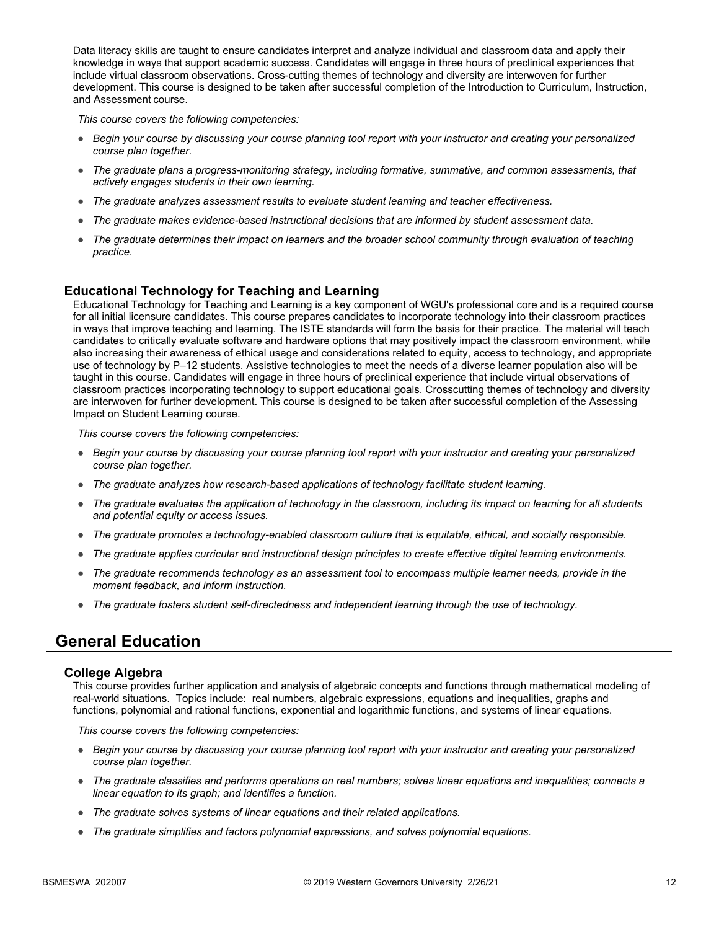Data literacy skills are taught to ensure candidates interpret and analyze individual and classroom data and apply their knowledge in ways that support academic success. Candidates will engage in three hours of preclinical experiences that include virtual classroom observations. Cross-cutting themes of technology and diversity are interwoven for further development. This course is designed to be taken after successful completion of the Introduction to Curriculum, Instruction, and Assessment course.

*This course covers the following competencies:*

- *Begin your course by discussing your course planning tool report with your instructor and creating your personalized course plan together.*
- *The graduate plans a progress-monitoring strategy, including formative, summative, and common assessments, that actively engages students in their own learning.*
- *The graduate analyzes assessment results to evaluate student learning and teacher effectiveness.*
- *The graduate makes evidence-based instructional decisions that are informed by student assessment data.*
- *The graduate determines their impact on learners and the broader school community through evaluation of teaching practice.*

#### **Educational Technology for Teaching and Learning**

Educational Technology for Teaching and Learning is a key component of WGU's professional core and is a required course for all initial licensure candidates. This course prepares candidates to incorporate technology into their classroom practices in ways that improve teaching and learning. The ISTE standards will form the basis for their practice. The material will teach candidates to critically evaluate software and hardware options that may positively impact the classroom environment, while also increasing their awareness of ethical usage and considerations related to equity, access to technology, and appropriate use of technology by P–12 students. Assistive technologies to meet the needs of a diverse learner population also will be taught in this course. Candidates will engage in three hours of preclinical experience that include virtual observations of classroom practices incorporating technology to support educational goals. Crosscutting themes of technology and diversity are interwoven for further development. This course is designed to be taken after successful completion of the Assessing Impact on Student Learning course.

*This course covers the following competencies:*

- *Begin your course by discussing your course planning tool report with your instructor and creating your personalized course plan together.*
- *The graduate analyzes how research-based applications of technology facilitate student learning.*
- *The graduate evaluates the application of technology in the classroom, including its impact on learning for all students and potential equity or access issues.*
- *The graduate promotes a technology-enabled classroom culture that is equitable, ethical, and socially responsible.*
- *The graduate applies curricular and instructional design principles to create effective digital learning environments.*
- *The graduate recommends technology as an assessment tool to encompass multiple learner needs, provide in the moment feedback, and inform instruction.*
- *The graduate fosters student self-directedness and independent learning through the use of technology.*

### **General Education**

#### **College Algebra**

This course provides further application and analysis of algebraic concepts and functions through mathematical modeling of real-world situations. Topics include: real numbers, algebraic expressions, equations and inequalities, graphs and functions, polynomial and rational functions, exponential and logarithmic functions, and systems of linear equations.

- *Begin your course by discussing your course planning tool report with your instructor and creating your personalized course plan together.*
- *The graduate classifies and performs operations on real numbers; solves linear equations and inequalities; connects a linear equation to its graph; and identifies a function.*
- *The graduate solves systems of linear equations and their related applications.*
- *The graduate simplifies and factors polynomial expressions, and solves polynomial equations.*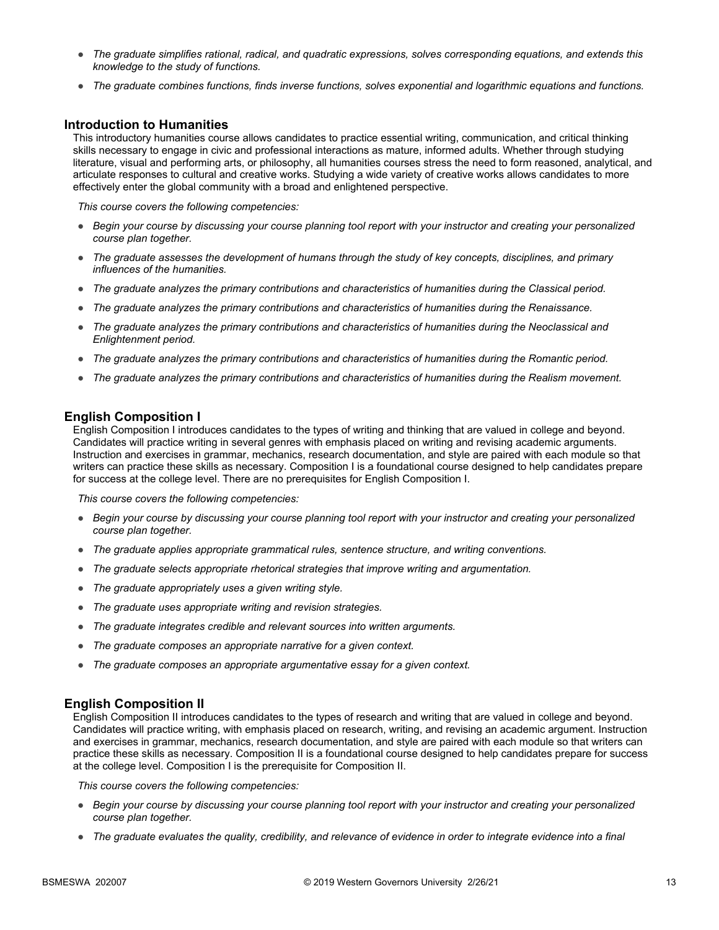- *The graduate simplifies rational, radical, and quadratic expressions, solves corresponding equations, and extends this knowledge to the study of functions.*
- *The graduate combines functions, finds inverse functions, solves exponential and logarithmic equations and functions.*

#### **Introduction to Humanities**

This introductory humanities course allows candidates to practice essential writing, communication, and critical thinking skills necessary to engage in civic and professional interactions as mature, informed adults. Whether through studying literature, visual and performing arts, or philosophy, all humanities courses stress the need to form reasoned, analytical, and articulate responses to cultural and creative works. Studying a wide variety of creative works allows candidates to more effectively enter the global community with a broad and enlightened perspective.

*This course covers the following competencies:*

- *Begin your course by discussing your course planning tool report with your instructor and creating your personalized course plan together.*
- *The graduate assesses the development of humans through the study of key concepts, disciplines, and primary influences of the humanities.*
- *The graduate analyzes the primary contributions and characteristics of humanities during the Classical period.*
- *The graduate analyzes the primary contributions and characteristics of humanities during the Renaissance.*
- *The graduate analyzes the primary contributions and characteristics of humanities during the Neoclassical and Enlightenment period.*
- *The graduate analyzes the primary contributions and characteristics of humanities during the Romantic period.*
- *The graduate analyzes the primary contributions and characteristics of humanities during the Realism movement.*

#### **English Composition I**

English Composition I introduces candidates to the types of writing and thinking that are valued in college and beyond. Candidates will practice writing in several genres with emphasis placed on writing and revising academic arguments. Instruction and exercises in grammar, mechanics, research documentation, and style are paired with each module so that writers can practice these skills as necessary. Composition I is a foundational course designed to help candidates prepare for success at the college level. There are no prerequisites for English Composition I.

*This course covers the following competencies:*

- *Begin your course by discussing your course planning tool report with your instructor and creating your personalized course plan together.*
- *The graduate applies appropriate grammatical rules, sentence structure, and writing conventions.*
- *The graduate selects appropriate rhetorical strategies that improve writing and argumentation.*
- *The graduate appropriately uses a given writing style.*
- *The graduate uses appropriate writing and revision strategies.*
- *The graduate integrates credible and relevant sources into written arguments.*
- *The graduate composes an appropriate narrative for a given context.*
- *The graduate composes an appropriate argumentative essay for a given context.*

#### **English Composition II**

English Composition II introduces candidates to the types of research and writing that are valued in college and beyond. Candidates will practice writing, with emphasis placed on research, writing, and revising an academic argument. Instruction and exercises in grammar, mechanics, research documentation, and style are paired with each module so that writers can practice these skills as necessary. Composition II is a foundational course designed to help candidates prepare for success at the college level. Composition I is the prerequisite for Composition II.

- *Begin your course by discussing your course planning tool report with your instructor and creating your personalized course plan together.*
- *The graduate evaluates the quality, credibility, and relevance of evidence in order to integrate evidence into a final*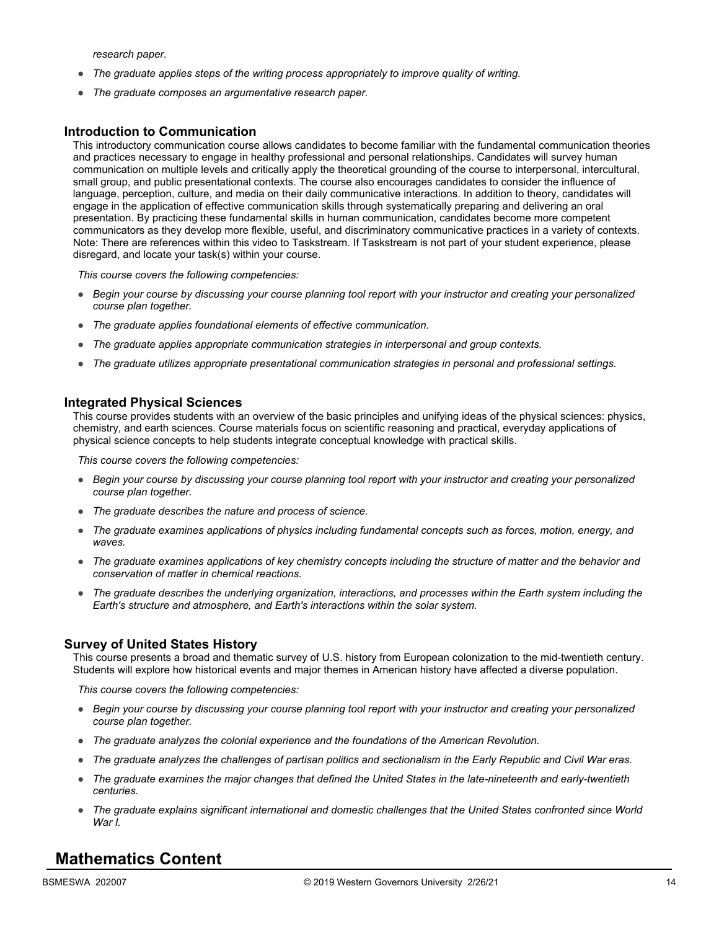*research paper.*

- *The graduate applies steps of the writing process appropriately to improve quality of writing.*
- *The graduate composes an argumentative research paper.*

#### **Introduction to Communication**

This introductory communication course allows candidates to become familiar with the fundamental communication theories and practices necessary to engage in healthy professional and personal relationships. Candidates will survey human communication on multiple levels and critically apply the theoretical grounding of the course to interpersonal, intercultural, small group, and public presentational contexts. The course also encourages candidates to consider the influence of language, perception, culture, and media on their daily communicative interactions. In addition to theory, candidates will engage in the application of effective communication skills through systematically preparing and delivering an oral presentation. By practicing these fundamental skills in human communication, candidates become more competent communicators as they develop more flexible, useful, and discriminatory communicative practices in a variety of contexts. Note: There are references within this video to Taskstream. If Taskstream is not part of your student experience, please disregard, and locate your task(s) within your course.

*This course covers the following competencies:*

- *Begin your course by discussing your course planning tool report with your instructor and creating your personalized course plan together.*
- *The graduate applies foundational elements of effective communication.*
- *The graduate applies appropriate communication strategies in interpersonal and group contexts.*
- *The graduate utilizes appropriate presentational communication strategies in personal and professional settings.*

#### **Integrated Physical Sciences**

This course provides students with an overview of the basic principles and unifying ideas of the physical sciences: physics, chemistry, and earth sciences. Course materials focus on scientific reasoning and practical, everyday applications of physical science concepts to help students integrate conceptual knowledge with practical skills.

*This course covers the following competencies:*

- *Begin your course by discussing your course planning tool report with your instructor and creating your personalized course plan together.*
- *The graduate describes the nature and process of science.*
- *The graduate examines applications of physics including fundamental concepts such as forces, motion, energy, and waves.*
- *The graduate examines applications of key chemistry concepts including the structure of matter and the behavior and conservation of matter in chemical reactions.*
- *The graduate describes the underlying organization, interactions, and processes within the Earth system including the Earth's structure and atmosphere, and Earth's interactions within the solar system.*

#### **Survey of United States History**

This course presents a broad and thematic survey of U.S. history from European colonization to the mid-twentieth century. Students will explore how historical events and major themes in American history have affected a diverse population.

*This course covers the following competencies:*

- *Begin your course by discussing your course planning tool report with your instructor and creating your personalized course plan together.*
- *The graduate analyzes the colonial experience and the foundations of the American Revolution.*
- *The graduate analyzes the challenges of partisan politics and sectionalism in the Early Republic and Civil War eras.*
- *The graduate examines the major changes that defined the United States in the late-nineteenth and early-twentieth centuries.*
- *The graduate explains significant international and domestic challenges that the United States confronted since World War I.*

### **Mathematics Content**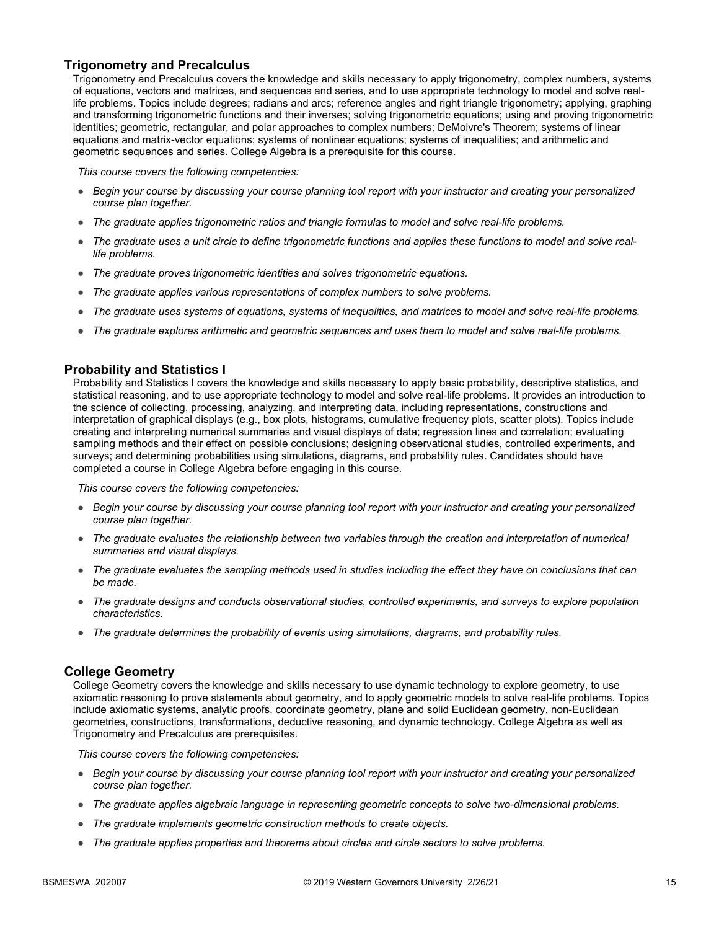#### **Trigonometry and Precalculus**

Trigonometry and Precalculus covers the knowledge and skills necessary to apply trigonometry, complex numbers, systems of equations, vectors and matrices, and sequences and series, and to use appropriate technology to model and solve reallife problems. Topics include degrees; radians and arcs; reference angles and right triangle trigonometry; applying, graphing and transforming trigonometric functions and their inverses; solving trigonometric equations; using and proving trigonometric identities; geometric, rectangular, and polar approaches to complex numbers; DeMoivre's Theorem; systems of linear equations and matrix-vector equations; systems of nonlinear equations; systems of inequalities; and arithmetic and geometric sequences and series. College Algebra is a prerequisite for this course.

*This course covers the following competencies:*

- *Begin your course by discussing your course planning tool report with your instructor and creating your personalized course plan together.*
- The graduate applies trigonometric ratios and triangle formulas to model and solve real-life problems.
- *The graduate uses a unit circle to define trigonometric functions and applies these functions to model and solve reallife problems.*
- *The graduate proves trigonometric identities and solves trigonometric equations.*
- *The graduate applies various representations of complex numbers to solve problems.*
- *The graduate uses systems of equations, systems of inequalities, and matrices to model and solve real-life problems.*
- *The graduate explores arithmetic and geometric sequences and uses them to model and solve real-life problems.*

#### **Probability and Statistics I**

Probability and Statistics I covers the knowledge and skills necessary to apply basic probability, descriptive statistics, and statistical reasoning, and to use appropriate technology to model and solve real-life problems. It provides an introduction to the science of collecting, processing, analyzing, and interpreting data, including representations, constructions and interpretation of graphical displays (e.g., box plots, histograms, cumulative frequency plots, scatter plots). Topics include creating and interpreting numerical summaries and visual displays of data; regression lines and correlation; evaluating sampling methods and their effect on possible conclusions; designing observational studies, controlled experiments, and surveys; and determining probabilities using simulations, diagrams, and probability rules. Candidates should have completed a course in College Algebra before engaging in this course.

*This course covers the following competencies:*

- *Begin your course by discussing your course planning tool report with your instructor and creating your personalized course plan together.*
- *The graduate evaluates the relationship between two variables through the creation and interpretation of numerical summaries and visual displays.*
- *The graduate evaluates the sampling methods used in studies including the effect they have on conclusions that can be made.*
- *The graduate designs and conducts observational studies, controlled experiments, and surveys to explore population characteristics.*
- *The graduate determines the probability of events using simulations, diagrams, and probability rules.*

#### **College Geometry**

College Geometry covers the knowledge and skills necessary to use dynamic technology to explore geometry, to use axiomatic reasoning to prove statements about geometry, and to apply geometric models to solve real-life problems. Topics include axiomatic systems, analytic proofs, coordinate geometry, plane and solid Euclidean geometry, non-Euclidean geometries, constructions, transformations, deductive reasoning, and dynamic technology. College Algebra as well as Trigonometry and Precalculus are prerequisites.

- *Begin your course by discussing your course planning tool report with your instructor and creating your personalized course plan together.*
- *The graduate applies algebraic language in representing geometric concepts to solve two-dimensional problems.*
- *The graduate implements geometric construction methods to create objects.*
- *The graduate applies properties and theorems about circles and circle sectors to solve problems.*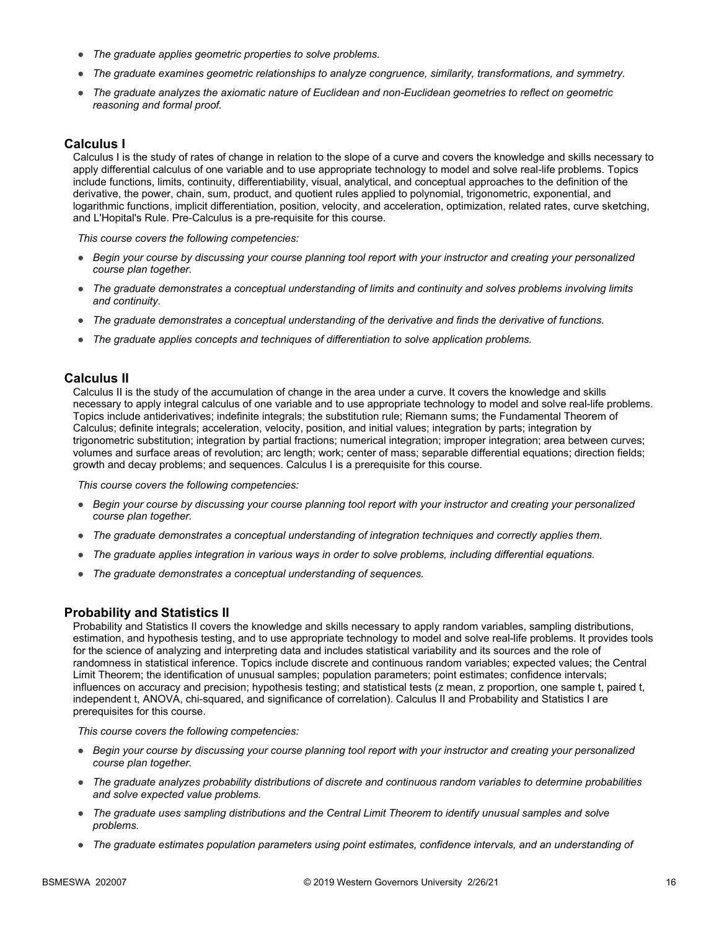- *The graduate applies geometric properties to solve problems.*
- *The graduate examines geometric relationships to analyze congruence, similarity, transformations, and symmetry.*
- *The graduate analyzes the axiomatic nature of Euclidean and non-Euclidean geometries to reflect on geometric reasoning and formal proof.*

#### **Calculus I**

Calculus I is the study of rates of change in relation to the slope of a curve and covers the knowledge and skills necessary to apply differential calculus of one variable and to use appropriate technology to model and solve real-life problems. Topics include functions, limits, continuity, differentiability, visual, analytical, and conceptual approaches to the definition of the derivative, the power, chain, sum, product, and quotient rules applied to polynomial, trigonometric, exponential, and logarithmic functions, implicit differentiation, position, velocity, and acceleration, optimization, related rates, curve sketching, and L'Hopital's Rule. Pre-Calculus is a pre-requisite for this course.

*This course covers the following competencies:*

- *Begin your course by discussing your course planning tool report with your instructor and creating your personalized course plan together.*
- *The graduate demonstrates a conceptual understanding of limits and continuity and solves problems involving limits and continuity.*
- *The graduate demonstrates a conceptual understanding of the derivative and finds the derivative of functions.*
- *The graduate applies concepts and techniques of differentiation to solve application problems.*

#### **Calculus II**

Calculus II is the study of the accumulation of change in the area under a curve. It covers the knowledge and skills necessary to apply integral calculus of one variable and to use appropriate technology to model and solve real-life problems. Topics include antiderivatives; indefinite integrals; the substitution rule; Riemann sums; the Fundamental Theorem of Calculus; definite integrals; acceleration, velocity, position, and initial values; integration by parts; integration by trigonometric substitution; integration by partial fractions; numerical integration; improper integration; area between curves; volumes and surface areas of revolution; arc length; work; center of mass; separable differential equations; direction fields; growth and decay problems; and sequences. Calculus I is a prerequisite for this course.

*This course covers the following competencies:*

- *Begin your course by discussing your course planning tool report with your instructor and creating your personalized course plan together.*
- *The graduate demonstrates a conceptual understanding of integration techniques and correctly applies them.*
- *The graduate applies integration in various ways in order to solve problems, including differential equations.*
- *The graduate demonstrates a conceptual understanding of sequences.*

#### **Probability and Statistics II**

Probability and Statistics II covers the knowledge and skills necessary to apply random variables, sampling distributions, estimation, and hypothesis testing, and to use appropriate technology to model and solve real-life problems. It provides tools for the science of analyzing and interpreting data and includes statistical variability and its sources and the role of randomness in statistical inference. Topics include discrete and continuous random variables; expected values; the Central Limit Theorem; the identification of unusual samples; population parameters; point estimates; confidence intervals; influences on accuracy and precision; hypothesis testing; and statistical tests (z mean, z proportion, one sample t, paired t, independent t, ANOVA, chi-squared, and significance of correlation). Calculus II and Probability and Statistics I are prerequisites for this course.

- *Begin your course by discussing your course planning tool report with your instructor and creating your personalized course plan together.*
- *The graduate analyzes probability distributions of discrete and continuous random variables to determine probabilities and solve expected value problems.*
- *The graduate uses sampling distributions and the Central Limit Theorem to identify unusual samples and solve problems.*
- *The graduate estimates population parameters using point estimates, confidence intervals, and an understanding of*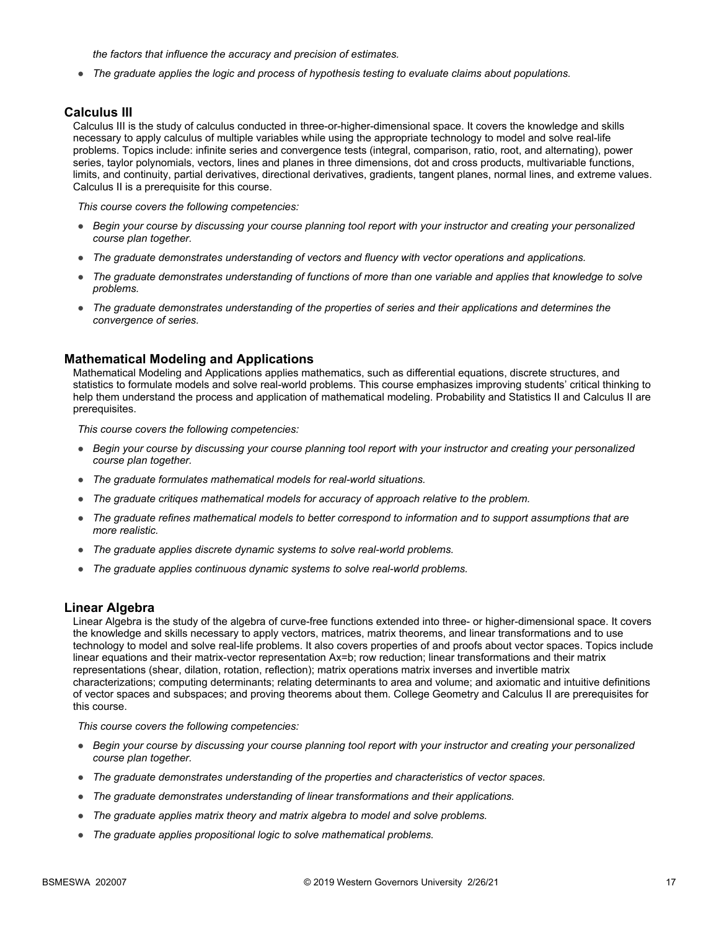*the factors that influence the accuracy and precision of estimates.*

● *The graduate applies the logic and process of hypothesis testing to evaluate claims about populations.*

#### **Calculus III**

Calculus III is the study of calculus conducted in three-or-higher-dimensional space. It covers the knowledge and skills necessary to apply calculus of multiple variables while using the appropriate technology to model and solve real-life problems. Topics include: infinite series and convergence tests (integral, comparison, ratio, root, and alternating), power series, taylor polynomials, vectors, lines and planes in three dimensions, dot and cross products, multivariable functions, limits, and continuity, partial derivatives, directional derivatives, gradients, tangent planes, normal lines, and extreme values. Calculus II is a prerequisite for this course.

*This course covers the following competencies:*

- *Begin your course by discussing your course planning tool report with your instructor and creating your personalized course plan together.*
- *The graduate demonstrates understanding of vectors and fluency with vector operations and applications.*
- *The graduate demonstrates understanding of functions of more than one variable and applies that knowledge to solve problems.*
- *The graduate demonstrates understanding of the properties of series and their applications and determines the convergence of series.*

#### **Mathematical Modeling and Applications**

Mathematical Modeling and Applications applies mathematics, such as differential equations, discrete structures, and statistics to formulate models and solve real-world problems. This course emphasizes improving students' critical thinking to help them understand the process and application of mathematical modeling. Probability and Statistics II and Calculus II are prerequisites.

*This course covers the following competencies:*

- *Begin your course by discussing your course planning tool report with your instructor and creating your personalized course plan together.*
- *The graduate formulates mathematical models for real-world situations.*
- *The graduate critiques mathematical models for accuracy of approach relative to the problem.*
- *The graduate refines mathematical models to better correspond to information and to support assumptions that are more realistic.*
- *The graduate applies discrete dynamic systems to solve real-world problems.*
- *The graduate applies continuous dynamic systems to solve real-world problems.*

#### **Linear Algebra**

Linear Algebra is the study of the algebra of curve-free functions extended into three- or higher-dimensional space. It covers the knowledge and skills necessary to apply vectors, matrices, matrix theorems, and linear transformations and to use technology to model and solve real-life problems. It also covers properties of and proofs about vector spaces. Topics include linear equations and their matrix-vector representation Ax=b; row reduction; linear transformations and their matrix representations (shear, dilation, rotation, reflection); matrix operations matrix inverses and invertible matrix characterizations; computing determinants; relating determinants to area and volume; and axiomatic and intuitive definitions of vector spaces and subspaces; and proving theorems about them. College Geometry and Calculus II are prerequisites for this course.

- *Begin your course by discussing your course planning tool report with your instructor and creating your personalized course plan together.*
- *The graduate demonstrates understanding of the properties and characteristics of vector spaces.*
- *The graduate demonstrates understanding of linear transformations and their applications.*
- *The graduate applies matrix theory and matrix algebra to model and solve problems.*
- *The graduate applies propositional logic to solve mathematical problems.*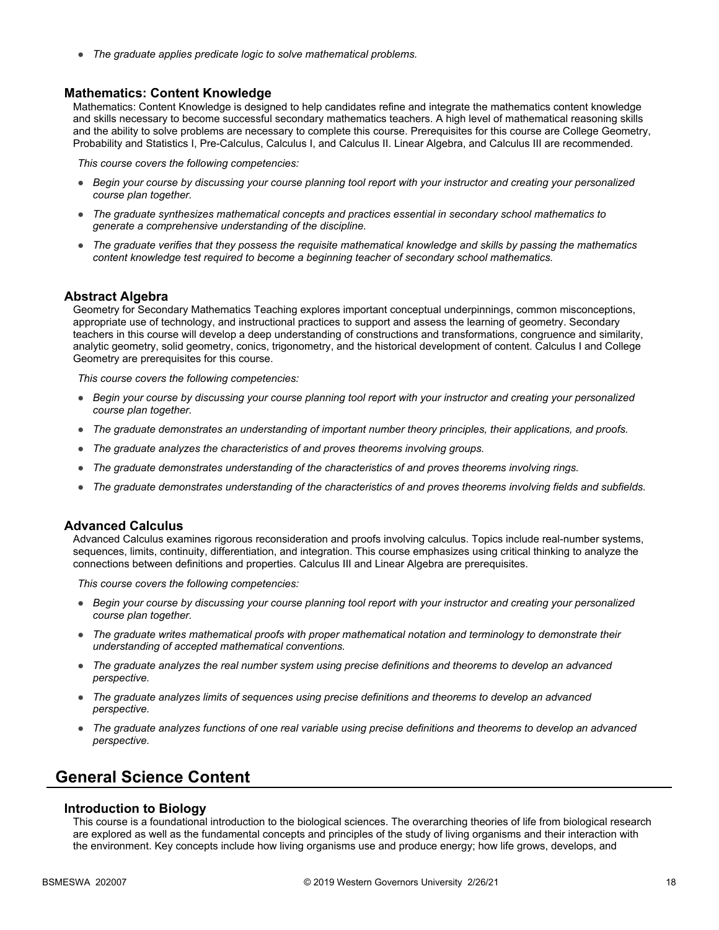● *The graduate applies predicate logic to solve mathematical problems.*

#### **Mathematics: Content Knowledge**

Mathematics: Content Knowledge is designed to help candidates refine and integrate the mathematics content knowledge and skills necessary to become successful secondary mathematics teachers. A high level of mathematical reasoning skills and the ability to solve problems are necessary to complete this course. Prerequisites for this course are College Geometry, Probability and Statistics I, Pre-Calculus, Calculus I, and Calculus II. Linear Algebra, and Calculus III are recommended.

*This course covers the following competencies:*

- *Begin your course by discussing your course planning tool report with your instructor and creating your personalized course plan together.*
- *The graduate synthesizes mathematical concepts and practices essential in secondary school mathematics to generate a comprehensive understanding of the discipline.*
- *The graduate verifies that they possess the requisite mathematical knowledge and skills by passing the mathematics content knowledge test required to become a beginning teacher of secondary school mathematics.*

#### **Abstract Algebra**

Geometry for Secondary Mathematics Teaching explores important conceptual underpinnings, common misconceptions, appropriate use of technology, and instructional practices to support and assess the learning of geometry. Secondary teachers in this course will develop a deep understanding of constructions and transformations, congruence and similarity, analytic geometry, solid geometry, conics, trigonometry, and the historical development of content. Calculus I and College Geometry are prerequisites for this course.

*This course covers the following competencies:*

- *Begin your course by discussing your course planning tool report with your instructor and creating your personalized course plan together.*
- *The graduate demonstrates an understanding of important number theory principles, their applications, and proofs.*
- *The graduate analyzes the characteristics of and proves theorems involving groups.*
- *The graduate demonstrates understanding of the characteristics of and proves theorems involving rings.*
- *The graduate demonstrates understanding of the characteristics of and proves theorems involving fields and subfields.*

#### **Advanced Calculus**

Advanced Calculus examines rigorous reconsideration and proofs involving calculus. Topics include real-number systems, sequences, limits, continuity, differentiation, and integration. This course emphasizes using critical thinking to analyze the connections between definitions and properties. Calculus III and Linear Algebra are prerequisites.

*This course covers the following competencies:*

- *Begin your course by discussing your course planning tool report with your instructor and creating your personalized course plan together.*
- *The graduate writes mathematical proofs with proper mathematical notation and terminology to demonstrate their understanding of accepted mathematical conventions.*
- *The graduate analyzes the real number system using precise definitions and theorems to develop an advanced perspective.*
- *The graduate analyzes limits of sequences using precise definitions and theorems to develop an advanced perspective.*
- *The graduate analyzes functions of one real variable using precise definitions and theorems to develop an advanced perspective.*

### **General Science Content**

#### **Introduction to Biology**

This course is a foundational introduction to the biological sciences. The overarching theories of life from biological research are explored as well as the fundamental concepts and principles of the study of living organisms and their interaction with the environment. Key concepts include how living organisms use and produce energy; how life grows, develops, and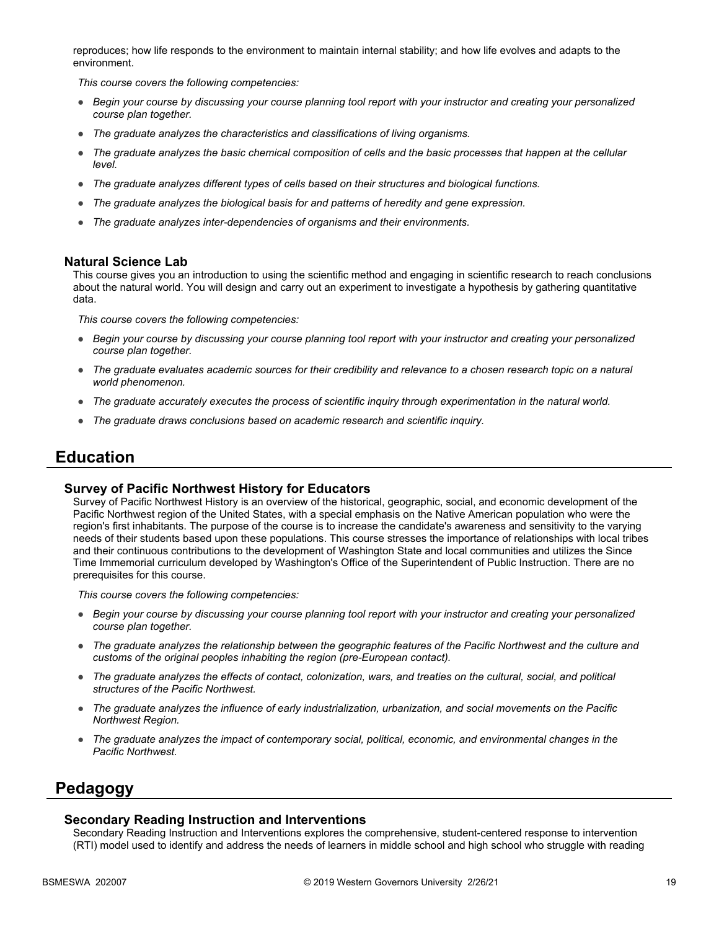reproduces; how life responds to the environment to maintain internal stability; and how life evolves and adapts to the environment.

*This course covers the following competencies:*

- *Begin your course by discussing your course planning tool report with your instructor and creating your personalized course plan together.*
- *The graduate analyzes the characteristics and classifications of living organisms.*
- *The graduate analyzes the basic chemical composition of cells and the basic processes that happen at the cellular level.*
- *The graduate analyzes different types of cells based on their structures and biological functions.*
- *The graduate analyzes the biological basis for and patterns of heredity and gene expression.*
- *The graduate analyzes inter-dependencies of organisms and their environments.*

#### **Natural Science Lab**

This course gives you an introduction to using the scientific method and engaging in scientific research to reach conclusions about the natural world. You will design and carry out an experiment to investigate a hypothesis by gathering quantitative data.

*This course covers the following competencies:*

- *Begin your course by discussing your course planning tool report with your instructor and creating your personalized course plan together.*
- *The graduate evaluates academic sources for their credibility and relevance to a chosen research topic on a natural world phenomenon.*
- *The graduate accurately executes the process of scientific inquiry through experimentation in the natural world.*
- *The graduate draws conclusions based on academic research and scientific inquiry.*

### **Education**

#### **Survey of Pacific Northwest History for Educators**

Survey of Pacific Northwest History is an overview of the historical, geographic, social, and economic development of the Pacific Northwest region of the United States, with a special emphasis on the Native American population who were the region's first inhabitants. The purpose of the course is to increase the candidate's awareness and sensitivity to the varying needs of their students based upon these populations. This course stresses the importance of relationships with local tribes and their continuous contributions to the development of Washington State and local communities and utilizes the Since Time Immemorial curriculum developed by Washington's Office of the Superintendent of Public Instruction. There are no prerequisites for this course.

*This course covers the following competencies:*

- *Begin your course by discussing your course planning tool report with your instructor and creating your personalized course plan together.*
- *The graduate analyzes the relationship between the geographic features of the Pacific Northwest and the culture and customs of the original peoples inhabiting the region (pre-European contact).*
- *The graduate analyzes the effects of contact, colonization, wars, and treaties on the cultural, social, and political structures of the Pacific Northwest.*
- *The graduate analyzes the influence of early industrialization, urbanization, and social movements on the Pacific Northwest Region.*
- *The graduate analyzes the impact of contemporary social, political, economic, and environmental changes in the Pacific Northwest.*

### **Pedagogy**

#### **Secondary Reading Instruction and Interventions**

Secondary Reading Instruction and Interventions explores the comprehensive, student-centered response to intervention (RTI) model used to identify and address the needs of learners in middle school and high school who struggle with reading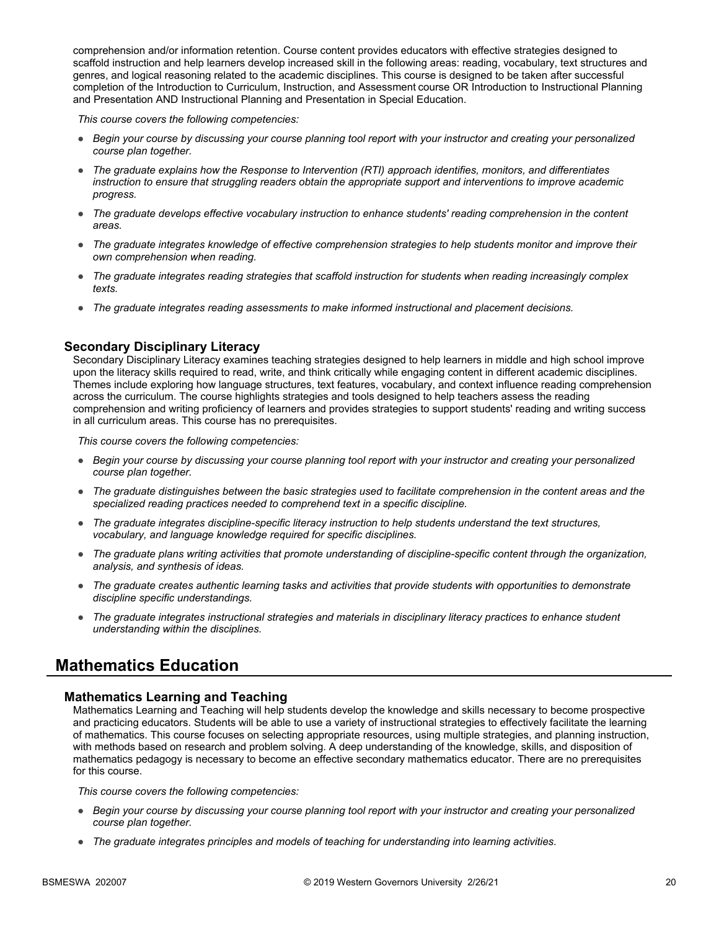comprehension and/or information retention. Course content provides educators with effective strategies designed to scaffold instruction and help learners develop increased skill in the following areas: reading, vocabulary, text structures and genres, and logical reasoning related to the academic disciplines. This course is designed to be taken after successful completion of the Introduction to Curriculum, Instruction, and Assessment course OR Introduction to Instructional Planning and Presentation AND Instructional Planning and Presentation in Special Education.

*This course covers the following competencies:*

- *Begin your course by discussing your course planning tool report with your instructor and creating your personalized course plan together.*
- *The graduate explains how the Response to Intervention (RTI) approach identifies, monitors, and differentiates instruction to ensure that struggling readers obtain the appropriate support and interventions to improve academic progress.*
- *The graduate develops effective vocabulary instruction to enhance students' reading comprehension in the content areas.*
- *The graduate integrates knowledge of effective comprehension strategies to help students monitor and improve their own comprehension when reading.*
- *The graduate integrates reading strategies that scaffold instruction for students when reading increasingly complex texts.*
- *The graduate integrates reading assessments to make informed instructional and placement decisions.*

#### **Secondary Disciplinary Literacy**

Secondary Disciplinary Literacy examines teaching strategies designed to help learners in middle and high school improve upon the literacy skills required to read, write, and think critically while engaging content in different academic disciplines. Themes include exploring how language structures, text features, vocabulary, and context influence reading comprehension across the curriculum. The course highlights strategies and tools designed to help teachers assess the reading comprehension and writing proficiency of learners and provides strategies to support students' reading and writing success in all curriculum areas. This course has no prerequisites.

*This course covers the following competencies:*

- *Begin your course by discussing your course planning tool report with your instructor and creating your personalized course plan together.*
- *The graduate distinguishes between the basic strategies used to facilitate comprehension in the content areas and the specialized reading practices needed to comprehend text in a specific discipline.*
- *The graduate integrates discipline-specific literacy instruction to help students understand the text structures, vocabulary, and language knowledge required for specific disciplines.*
- *The graduate plans writing activities that promote understanding of discipline-specific content through the organization, analysis, and synthesis of ideas.*
- *The graduate creates authentic learning tasks and activities that provide students with opportunities to demonstrate discipline specific understandings.*
- *The graduate integrates instructional strategies and materials in disciplinary literacy practices to enhance student understanding within the disciplines.*

### **Mathematics Education**

#### **Mathematics Learning and Teaching**

Mathematics Learning and Teaching will help students develop the knowledge and skills necessary to become prospective and practicing educators. Students will be able to use a variety of instructional strategies to effectively facilitate the learning of mathematics. This course focuses on selecting appropriate resources, using multiple strategies, and planning instruction, with methods based on research and problem solving. A deep understanding of the knowledge, skills, and disposition of mathematics pedagogy is necessary to become an effective secondary mathematics educator. There are no prerequisites for this course.

- *Begin your course by discussing your course planning tool report with your instructor and creating your personalized course plan together.*
- *The graduate integrates principles and models of teaching for understanding into learning activities.*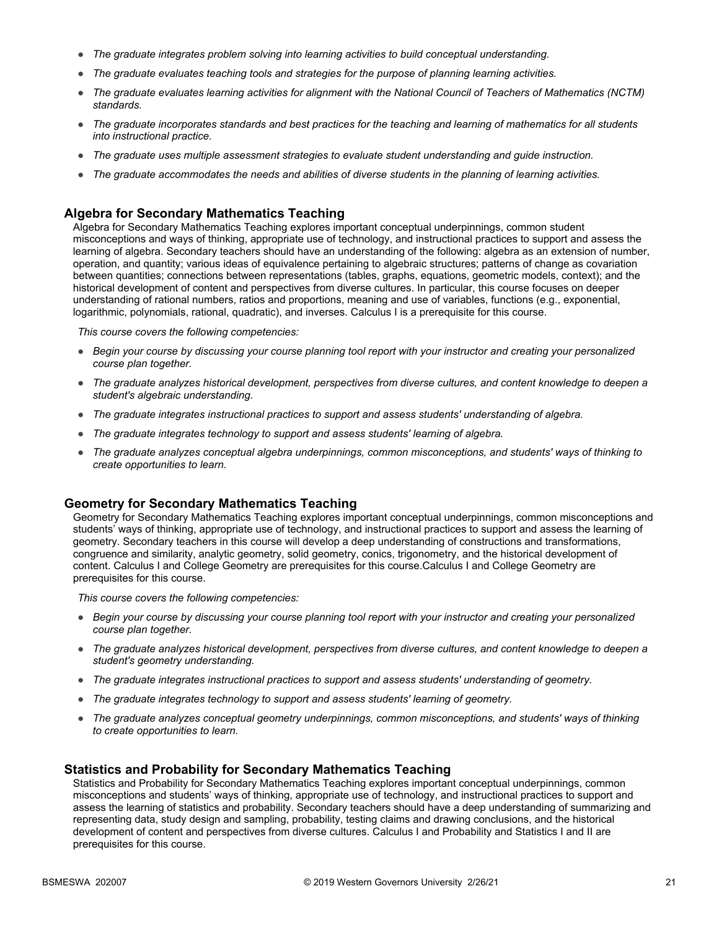- *The graduate integrates problem solving into learning activities to build conceptual understanding.*
- *The graduate evaluates teaching tools and strategies for the purpose of planning learning activities.*
- *The graduate evaluates learning activities for alignment with the National Council of Teachers of Mathematics (NCTM) standards.*
- *The graduate incorporates standards and best practices for the teaching and learning of mathematics for all students into instructional practice.*
- *The graduate uses multiple assessment strategies to evaluate student understanding and guide instruction.*
- *The graduate accommodates the needs and abilities of diverse students in the planning of learning activities.*

#### **Algebra for Secondary Mathematics Teaching**

Algebra for Secondary Mathematics Teaching explores important conceptual underpinnings, common student misconceptions and ways of thinking, appropriate use of technology, and instructional practices to support and assess the learning of algebra. Secondary teachers should have an understanding of the following: algebra as an extension of number, operation, and quantity; various ideas of equivalence pertaining to algebraic structures; patterns of change as covariation between quantities; connections between representations (tables, graphs, equations, geometric models, context); and the historical development of content and perspectives from diverse cultures. In particular, this course focuses on deeper understanding of rational numbers, ratios and proportions, meaning and use of variables, functions (e.g., exponential, logarithmic, polynomials, rational, quadratic), and inverses. Calculus I is a prerequisite for this course.

*This course covers the following competencies:*

- *Begin your course by discussing your course planning tool report with your instructor and creating your personalized course plan together.*
- *The graduate analyzes historical development, perspectives from diverse cultures, and content knowledge to deepen a student's algebraic understanding.*
- *The graduate integrates instructional practices to support and assess students' understanding of algebra.*
- *The graduate integrates technology to support and assess students' learning of algebra.*
- *The graduate analyzes conceptual algebra underpinnings, common misconceptions, and students' ways of thinking to create opportunities to learn.*

#### **Geometry for Secondary Mathematics Teaching**

Geometry for Secondary Mathematics Teaching explores important conceptual underpinnings, common misconceptions and students' ways of thinking, appropriate use of technology, and instructional practices to support and assess the learning of geometry. Secondary teachers in this course will develop a deep understanding of constructions and transformations, congruence and similarity, analytic geometry, solid geometry, conics, trigonometry, and the historical development of content. Calculus I and College Geometry are prerequisites for this course.Calculus I and College Geometry are prerequisites for this course.

*This course covers the following competencies:*

- *Begin your course by discussing your course planning tool report with your instructor and creating your personalized course plan together.*
- *The graduate analyzes historical development, perspectives from diverse cultures, and content knowledge to deepen a student's geometry understanding.*
- *The graduate integrates instructional practices to support and assess students' understanding of geometry.*
- *The graduate integrates technology to support and assess students' learning of geometry.*
- *The graduate analyzes conceptual geometry underpinnings, common misconceptions, and students' ways of thinking to create opportunities to learn.*

#### **Statistics and Probability for Secondary Mathematics Teaching**

Statistics and Probability for Secondary Mathematics Teaching explores important conceptual underpinnings, common misconceptions and students' ways of thinking, appropriate use of technology, and instructional practices to support and assess the learning of statistics and probability. Secondary teachers should have a deep understanding of summarizing and representing data, study design and sampling, probability, testing claims and drawing conclusions, and the historical development of content and perspectives from diverse cultures. Calculus I and Probability and Statistics I and II are prerequisites for this course.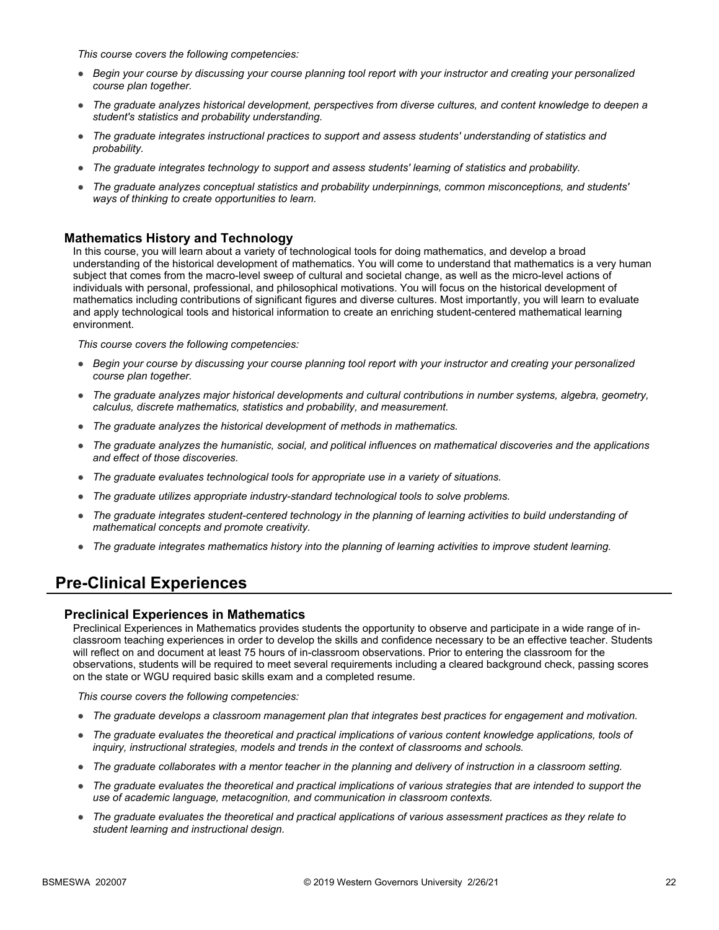*This course covers the following competencies:*

- *Begin your course by discussing your course planning tool report with your instructor and creating your personalized course plan together.*
- *The graduate analyzes historical development, perspectives from diverse cultures, and content knowledge to deepen a student's statistics and probability understanding.*
- *The graduate integrates instructional practices to support and assess students' understanding of statistics and probability.*
- *The graduate integrates technology to support and assess students' learning of statistics and probability.*
- *The graduate analyzes conceptual statistics and probability underpinnings, common misconceptions, and students' ways of thinking to create opportunities to learn.*

#### **Mathematics History and Technology**

In this course, you will learn about a variety of technological tools for doing mathematics, and develop a broad understanding of the historical development of mathematics. You will come to understand that mathematics is a very human subject that comes from the macro-level sweep of cultural and societal change, as well as the micro-level actions of individuals with personal, professional, and philosophical motivations. You will focus on the historical development of mathematics including contributions of significant figures and diverse cultures. Most importantly, you will learn to evaluate and apply technological tools and historical information to create an enriching student-centered mathematical learning environment.

*This course covers the following competencies:*

- *Begin your course by discussing your course planning tool report with your instructor and creating your personalized course plan together.*
- *The graduate analyzes major historical developments and cultural contributions in number systems, algebra, geometry, calculus, discrete mathematics, statistics and probability, and measurement.*
- *The graduate analyzes the historical development of methods in mathematics.*
- *The graduate analyzes the humanistic, social, and political influences on mathematical discoveries and the applications and effect of those discoveries.*
- *The graduate evaluates technological tools for appropriate use in a variety of situations.*
- *The graduate utilizes appropriate industry-standard technological tools to solve problems.*
- *The graduate integrates student-centered technology in the planning of learning activities to build understanding of mathematical concepts and promote creativity.*
- *The graduate integrates mathematics history into the planning of learning activities to improve student learning.*

### **Pre-Clinical Experiences**

#### **Preclinical Experiences in Mathematics**

Preclinical Experiences in Mathematics provides students the opportunity to observe and participate in a wide range of inclassroom teaching experiences in order to develop the skills and confidence necessary to be an effective teacher. Students will reflect on and document at least 75 hours of in-classroom observations. Prior to entering the classroom for the observations, students will be required to meet several requirements including a cleared background check, passing scores on the state or WGU required basic skills exam and a completed resume.

- *The graduate develops a classroom management plan that integrates best practices for engagement and motivation.*
- *The graduate evaluates the theoretical and practical implications of various content knowledge applications, tools of inquiry, instructional strategies, models and trends in the context of classrooms and schools.*
- *The graduate collaborates with a mentor teacher in the planning and delivery of instruction in a classroom setting.*
- *The graduate evaluates the theoretical and practical implications of various strategies that are intended to support the use of academic language, metacognition, and communication in classroom contexts.*
- *The graduate evaluates the theoretical and practical applications of various assessment practices as they relate to student learning and instructional design.*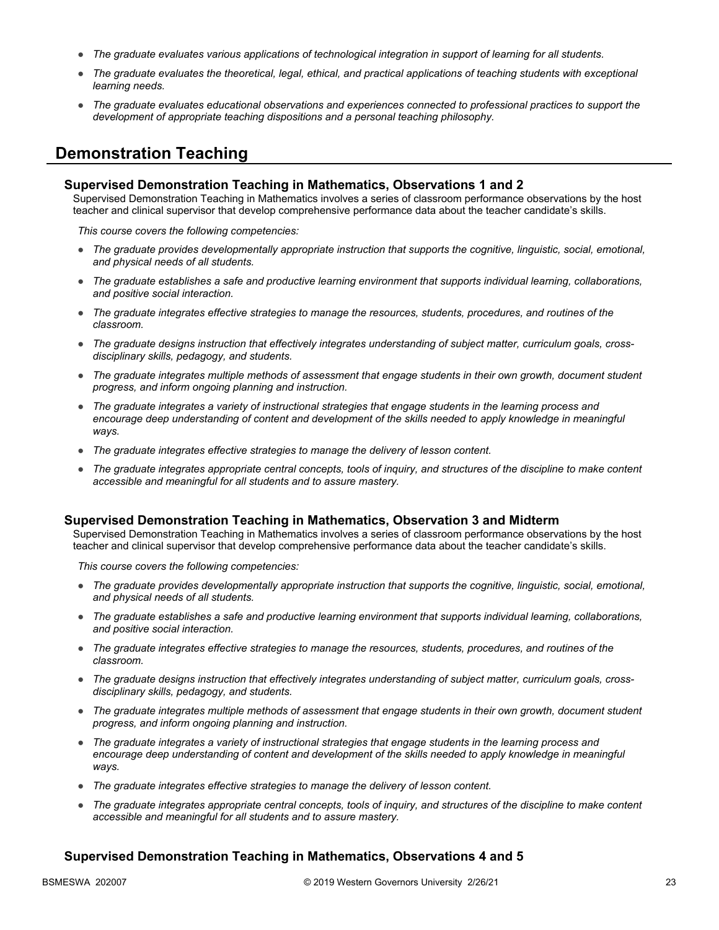- *The graduate evaluates various applications of technological integration in support of learning for all students.*
- *The graduate evaluates the theoretical, legal, ethical, and practical applications of teaching students with exceptional learning needs.*
- *The graduate evaluates educational observations and experiences connected to professional practices to support the development of appropriate teaching dispositions and a personal teaching philosophy.*

### **Demonstration Teaching**

#### **Supervised Demonstration Teaching in Mathematics, Observations 1 and 2**

Supervised Demonstration Teaching in Mathematics involves a series of classroom performance observations by the host teacher and clinical supervisor that develop comprehensive performance data about the teacher candidate's skills.

*This course covers the following competencies:*

- *The graduate provides developmentally appropriate instruction that supports the cognitive, linguistic, social, emotional, and physical needs of all students.*
- *The graduate establishes a safe and productive learning environment that supports individual learning, collaborations, and positive social interaction.*
- *The graduate integrates effective strategies to manage the resources, students, procedures, and routines of the classroom.*
- *The graduate designs instruction that effectively integrates understanding of subject matter, curriculum goals, crossdisciplinary skills, pedagogy, and students.*
- *The graduate integrates multiple methods of assessment that engage students in their own growth, document student progress, and inform ongoing planning and instruction.*
- *The graduate integrates a variety of instructional strategies that engage students in the learning process and encourage deep understanding of content and development of the skills needed to apply knowledge in meaningful ways.*
- *The graduate integrates effective strategies to manage the delivery of lesson content.*
- *The graduate integrates appropriate central concepts, tools of inquiry, and structures of the discipline to make content accessible and meaningful for all students and to assure mastery.*

#### **Supervised Demonstration Teaching in Mathematics, Observation 3 and Midterm**

Supervised Demonstration Teaching in Mathematics involves a series of classroom performance observations by the host teacher and clinical supervisor that develop comprehensive performance data about the teacher candidate's skills.

*This course covers the following competencies:*

- *The graduate provides developmentally appropriate instruction that supports the cognitive, linguistic, social, emotional, and physical needs of all students.*
- *The graduate establishes a safe and productive learning environment that supports individual learning, collaborations, and positive social interaction.*
- *The graduate integrates effective strategies to manage the resources, students, procedures, and routines of the classroom.*
- *The graduate designs instruction that effectively integrates understanding of subject matter, curriculum goals, crossdisciplinary skills, pedagogy, and students.*
- *The graduate integrates multiple methods of assessment that engage students in their own growth, document student progress, and inform ongoing planning and instruction.*
- *The graduate integrates a variety of instructional strategies that engage students in the learning process and*  encourage deep understanding of content and development of the skills needed to apply knowledge in meaningful *ways.*
- *The graduate integrates effective strategies to manage the delivery of lesson content.*
- *The graduate integrates appropriate central concepts, tools of inquiry, and structures of the discipline to make content accessible and meaningful for all students and to assure mastery.*

#### **Supervised Demonstration Teaching in Mathematics, Observations 4 and 5**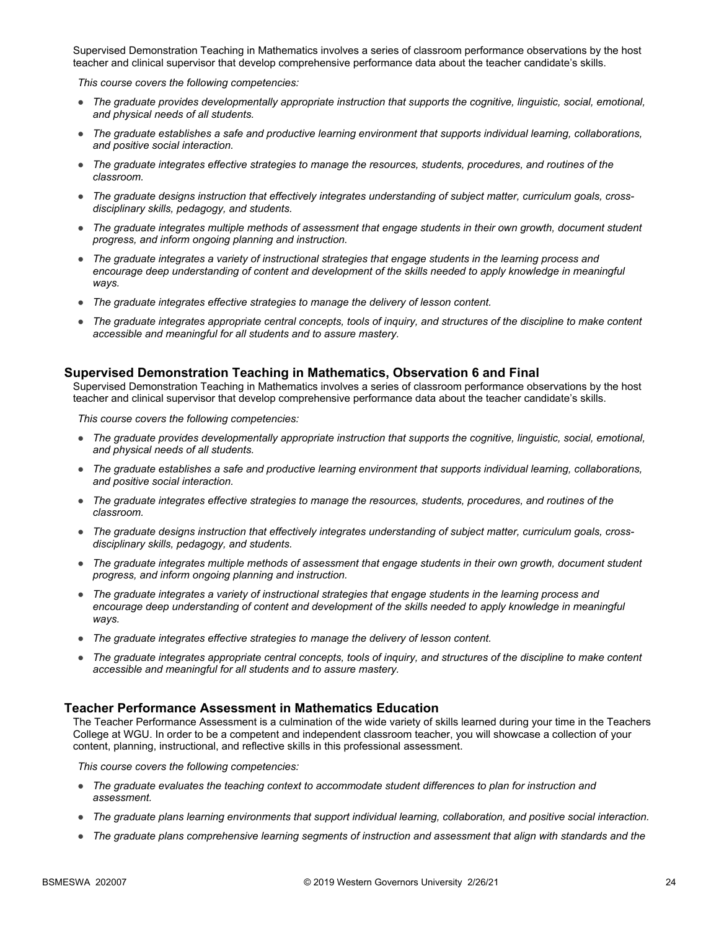Supervised Demonstration Teaching in Mathematics involves a series of classroom performance observations by the host teacher and clinical supervisor that develop comprehensive performance data about the teacher candidate's skills.

*This course covers the following competencies:*

- *The graduate provides developmentally appropriate instruction that supports the cognitive, linguistic, social, emotional, and physical needs of all students.*
- *The graduate establishes a safe and productive learning environment that supports individual learning, collaborations, and positive social interaction.*
- *The graduate integrates effective strategies to manage the resources, students, procedures, and routines of the classroom.*
- *The graduate designs instruction that effectively integrates understanding of subject matter, curriculum goals, crossdisciplinary skills, pedagogy, and students.*
- *The graduate integrates multiple methods of assessment that engage students in their own growth, document student progress, and inform ongoing planning and instruction.*
- *The graduate integrates a variety of instructional strategies that engage students in the learning process and*  encourage deep understanding of content and development of the skills needed to apply knowledge in meaningful *ways.*
- *The graduate integrates effective strategies to manage the delivery of lesson content.*
- *The graduate integrates appropriate central concepts, tools of inquiry, and structures of the discipline to make content accessible and meaningful for all students and to assure mastery.*

#### **Supervised Demonstration Teaching in Mathematics, Observation 6 and Final**

Supervised Demonstration Teaching in Mathematics involves a series of classroom performance observations by the host teacher and clinical supervisor that develop comprehensive performance data about the teacher candidate's skills.

*This course covers the following competencies:*

- *The graduate provides developmentally appropriate instruction that supports the cognitive, linguistic, social, emotional, and physical needs of all students.*
- *The graduate establishes a safe and productive learning environment that supports individual learning, collaborations, and positive social interaction.*
- *The graduate integrates effective strategies to manage the resources, students, procedures, and routines of the classroom.*
- *The graduate designs instruction that effectively integrates understanding of subject matter, curriculum goals, crossdisciplinary skills, pedagogy, and students.*
- *The graduate integrates multiple methods of assessment that engage students in their own growth, document student progress, and inform ongoing planning and instruction.*
- *The graduate integrates a variety of instructional strategies that engage students in the learning process and encourage deep understanding of content and development of the skills needed to apply knowledge in meaningful ways.*
- *The graduate integrates effective strategies to manage the delivery of lesson content.*
- *The graduate integrates appropriate central concepts, tools of inquiry, and structures of the discipline to make content accessible and meaningful for all students and to assure mastery.*

#### **Teacher Performance Assessment in Mathematics Education**

The Teacher Performance Assessment is a culmination of the wide variety of skills learned during your time in the Teachers College at WGU. In order to be a competent and independent classroom teacher, you will showcase a collection of your content, planning, instructional, and reflective skills in this professional assessment.

- *The graduate evaluates the teaching context to accommodate student differences to plan for instruction and assessment.*
- *The graduate plans learning environments that support individual learning, collaboration, and positive social interaction.*
- *The graduate plans comprehensive learning segments of instruction and assessment that align with standards and the*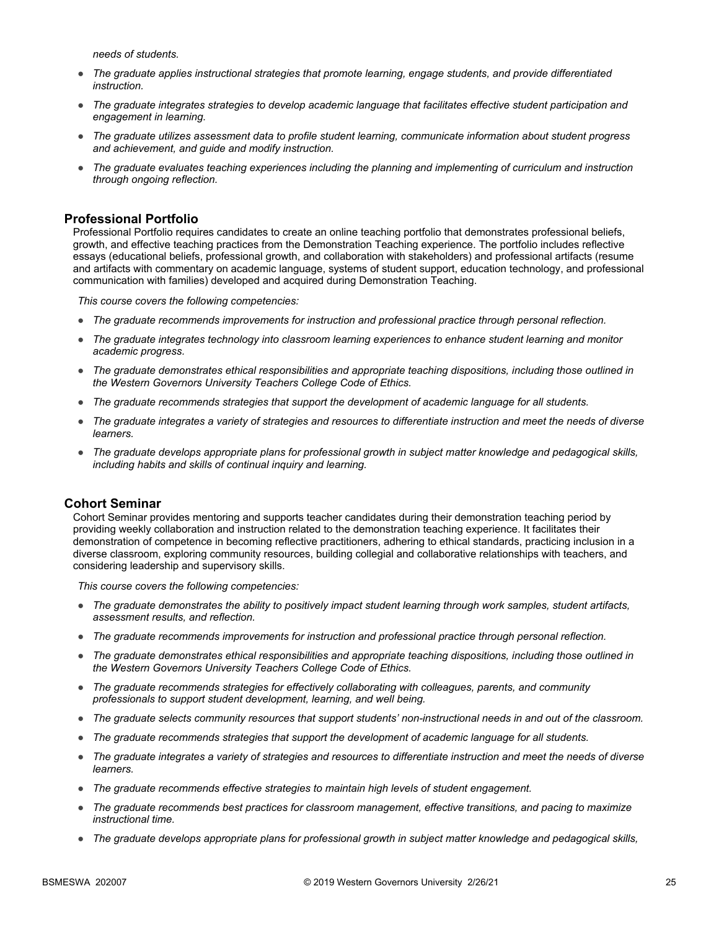*needs of students.*

- *The graduate applies instructional strategies that promote learning, engage students, and provide differentiated instruction.*
- *The graduate integrates strategies to develop academic language that facilitates effective student participation and engagement in learning.*
- *The graduate utilizes assessment data to profile student learning, communicate information about student progress and achievement, and guide and modify instruction.*
- *The graduate evaluates teaching experiences including the planning and implementing of curriculum and instruction through ongoing reflection.*

#### **Professional Portfolio**

Professional Portfolio requires candidates to create an online teaching portfolio that demonstrates professional beliefs, growth, and effective teaching practices from the Demonstration Teaching experience. The portfolio includes reflective essays (educational beliefs, professional growth, and collaboration with stakeholders) and professional artifacts (resume and artifacts with commentary on academic language, systems of student support, education technology, and professional communication with families) developed and acquired during Demonstration Teaching.

*This course covers the following competencies:*

- *The graduate recommends improvements for instruction and professional practice through personal reflection.*
- *The graduate integrates technology into classroom learning experiences to enhance student learning and monitor academic progress.*
- *The graduate demonstrates ethical responsibilities and appropriate teaching dispositions, including those outlined in the Western Governors University Teachers College Code of Ethics.*
- *The graduate recommends strategies that support the development of academic language for all students.*
- *The graduate integrates a variety of strategies and resources to differentiate instruction and meet the needs of diverse learners.*
- *The graduate develops appropriate plans for professional growth in subject matter knowledge and pedagogical skills, including habits and skills of continual inquiry and learning.*

#### **Cohort Seminar**

Cohort Seminar provides mentoring and supports teacher candidates during their demonstration teaching period by providing weekly collaboration and instruction related to the demonstration teaching experience. It facilitates their demonstration of competence in becoming reflective practitioners, adhering to ethical standards, practicing inclusion in a diverse classroom, exploring community resources, building collegial and collaborative relationships with teachers, and considering leadership and supervisory skills.

- *The graduate demonstrates the ability to positively impact student learning through work samples, student artifacts, assessment results, and reflection.*
- *The graduate recommends improvements for instruction and professional practice through personal reflection.*
- *The graduate demonstrates ethical responsibilities and appropriate teaching dispositions, including those outlined in the Western Governors University Teachers College Code of Ethics.*
- *The graduate recommends strategies for effectively collaborating with colleagues, parents, and community professionals to support student development, learning, and well being.*
- *The graduate selects community resources that support students' non-instructional needs in and out of the classroom.*
- *The graduate recommends strategies that support the development of academic language for all students.*
- *The graduate integrates a variety of strategies and resources to differentiate instruction and meet the needs of diverse learners.*
- *The graduate recommends effective strategies to maintain high levels of student engagement.*
- *The graduate recommends best practices for classroom management, effective transitions, and pacing to maximize instructional time.*
- *The graduate develops appropriate plans for professional growth in subject matter knowledge and pedagogical skills,*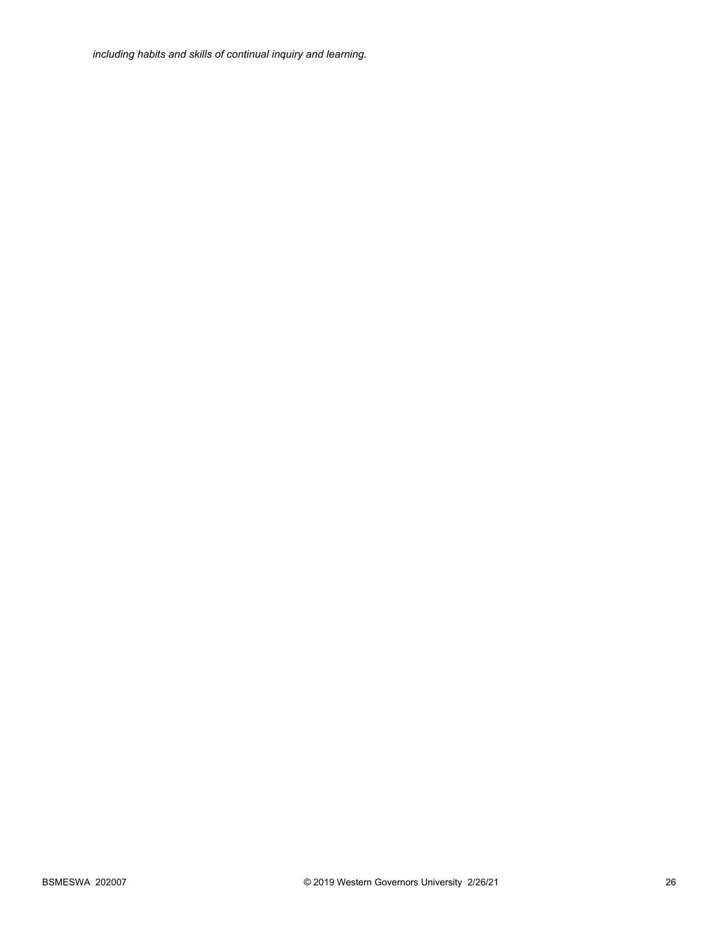*including habits and skills of continual inquiry and learning.*